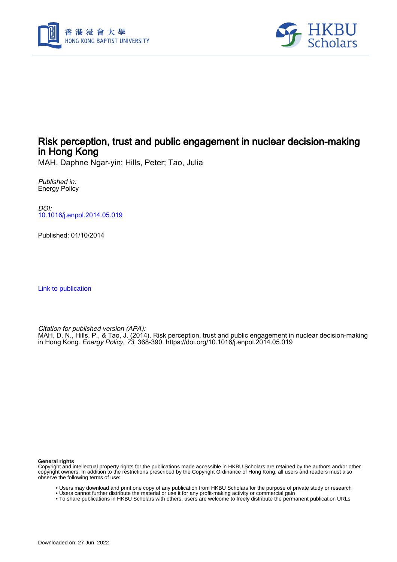



# Risk perception, trust and public engagement in nuclear decision-making in Hong Kong

MAH, Daphne Ngar-yin; Hills, Peter; Tao, Julia

Published in: Energy Policy

DOI: [10.1016/j.enpol.2014.05.019](https://doi.org/10.1016/j.enpol.2014.05.019)

Published: 01/10/2014

[Link to publication](https://scholars.hkbu.edu.hk/en/publications/5a8dbc5f-0455-492c-bdd7-d53c1fbe6399)

Citation for published version (APA): MAH, D. N., Hills, P., & Tao, J. (2014). Risk perception, trust and public engagement in nuclear decision-making in Hong Kong. Energy Policy, 73, 368-390. <https://doi.org/10.1016/j.enpol.2014.05.019>

#### **General rights**

Copyright and intellectual property rights for the publications made accessible in HKBU Scholars are retained by the authors and/or other copyright owners. In addition to the restrictions prescribed by the Copyright Ordinance of Hong Kong, all users and readers must also observe the following terms of use:

- Users may download and print one copy of any publication from HKBU Scholars for the purpose of private study or research
- Users cannot further distribute the material or use it for any profit-making activity or commercial gain
- To share publications in HKBU Scholars with others, users are welcome to freely distribute the permanent publication URLs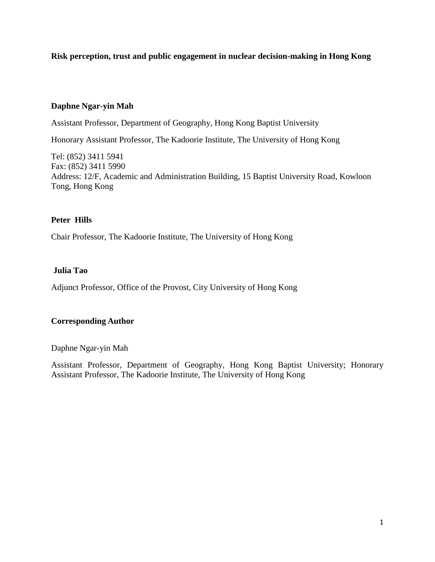# **Risk perception, trust and public engagement in nuclear decision-making in Hong Kong**

# **Daphne Ngar-yin Mah**

Assistant Professor, Department of Geography, Hong Kong Baptist University

Honorary Assistant Professor, The Kadoorie Institute, The University of Hong Kong

Tel: (852) 3411 5941 Fax: (852) 3411 5990 Address: 12/F, Academic and Administration Building, 15 Baptist University Road, Kowloon Tong, Hong Kong

# **Peter Hills**

Chair Professor, The Kadoorie Institute, The University of Hong Kong

# **Julia Tao**

Adjunct Professor, Office of the Provost, City University of Hong Kong

# **Corresponding Author**

Daphne Ngar-yin Mah

Assistant Professor, Department of Geography, Hong Kong Baptist University; Honorary Assistant Professor, The Kadoorie Institute, The University of Hong Kong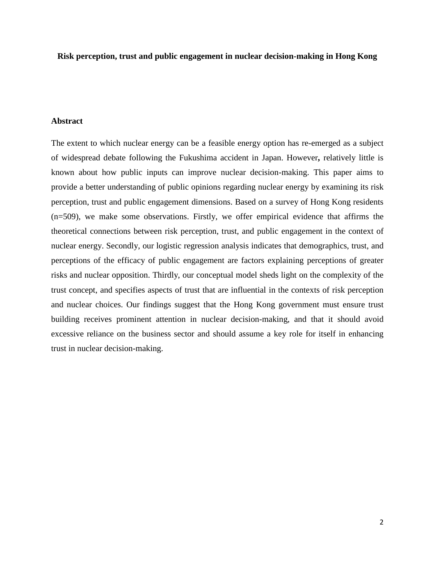**Risk perception, trust and public engagement in nuclear decision-making in Hong Kong**

# **Abstract**

The extent to which nuclear energy can be a feasible energy option has re-emerged as a subject of widespread debate following the Fukushima accident in Japan. However**,** relatively little is known about how public inputs can improve nuclear decision-making. This paper aims to provide a better understanding of public opinions regarding nuclear energy by examining its risk perception, trust and public engagement dimensions. Based on a survey of Hong Kong residents (n=509), we make some observations. Firstly, we offer empirical evidence that affirms the theoretical connections between risk perception, trust, and public engagement in the context of nuclear energy. Secondly, our logistic regression analysis indicates that demographics, trust, and perceptions of the efficacy of public engagement are factors explaining perceptions of greater risks and nuclear opposition. Thirdly, our conceptual model sheds light on the complexity of the trust concept, and specifies aspects of trust that are influential in the contexts of risk perception and nuclear choices. Our findings suggest that the Hong Kong government must ensure trust building receives prominent attention in nuclear decision-making, and that it should avoid excessive reliance on the business sector and should assume a key role for itself in enhancing trust in nuclear decision-making.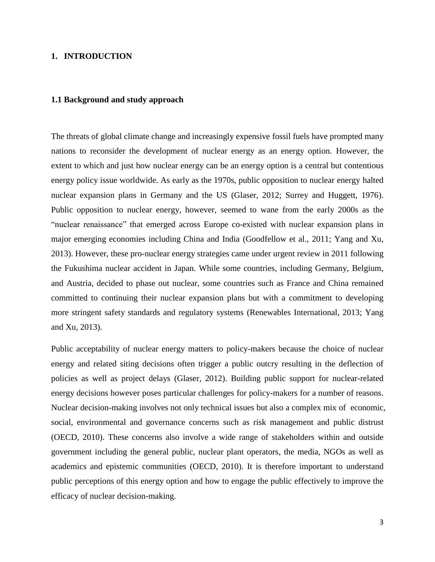# **1. INTRODUCTION**

# **1.1 Background and study approach**

The threats of global climate change and increasingly expensive fossil fuels have prompted many nations to reconsider the development of nuclear energy as an energy option. However, the extent to which and just how nuclear energy can be an energy option is a central but contentious energy policy issue worldwide. As early as the 1970s, public opposition to nuclear energy halted nuclear expansion plans in Germany and the US (Glaser, 2012; Surrey and Huggett, 1976). Public opposition to nuclear energy, however, seemed to wane from the early 2000s as the "nuclear renaissance" that emerged across Europe co-existed with nuclear expansion plans in major emerging economies including China and India (Goodfellow et al., 2011; Yang and Xu, 2013). However, these pro-nuclear energy strategies came under urgent review in 2011 following the Fukushima nuclear accident in Japan. While some countries, including Germany, Belgium, and Austria, decided to phase out nuclear, some countries such as France and China remained committed to continuing their nuclear expansion plans but with a commitment to developing more stringent safety standards and regulatory systems (Renewables International, 2013; Yang and Xu, 2013).

Public acceptability of nuclear energy matters to policy-makers because the choice of nuclear energy and related siting decisions often trigger a public outcry resulting in the deflection of policies as well as project delays (Glaser, 2012). Building public support for nuclear-related energy decisions however poses particular challenges for policy-makers for a number of reasons. Nuclear decision-making involves not only technical issues but also a complex mix of economic, social, environmental and governance concerns such as risk management and public distrust (OECD, 2010). These concerns also involve a wide range of stakeholders within and outside government including the general public, nuclear plant operators, the media, NGOs as well as academics and epistemic communities (OECD, 2010). It is therefore important to understand public perceptions of this energy option and how to engage the public effectively to improve the efficacy of nuclear decision-making.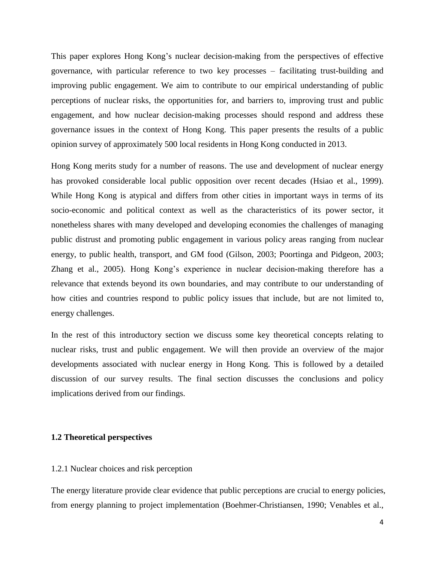This paper explores Hong Kong's nuclear decision-making from the perspectives of effective governance, with particular reference to two key processes – facilitating trust-building and improving public engagement. We aim to contribute to our empirical understanding of public perceptions of nuclear risks, the opportunities for, and barriers to, improving trust and public engagement, and how nuclear decision-making processes should respond and address these governance issues in the context of Hong Kong. This paper presents the results of a public opinion survey of approximately 500 local residents in Hong Kong conducted in 2013.

Hong Kong merits study for a number of reasons. The use and development of nuclear energy has provoked considerable local public opposition over recent decades (Hsiao et al., 1999). While Hong Kong is atypical and differs from other cities in important ways in terms of its socio-economic and political context as well as the characteristics of its power sector, it nonetheless shares with many developed and developing economies the challenges of managing public distrust and promoting public engagement in various policy areas ranging from nuclear energy, to public health, transport, and GM food (Gilson, 2003; Poortinga and Pidgeon, 2003; Zhang et al., 2005). Hong Kong's experience in nuclear decision-making therefore has a relevance that extends beyond its own boundaries, and may contribute to our understanding of how cities and countries respond to public policy issues that include, but are not limited to, energy challenges.

In the rest of this introductory section we discuss some key theoretical concepts relating to nuclear risks, trust and public engagement. We will then provide an overview of the major developments associated with nuclear energy in Hong Kong. This is followed by a detailed discussion of our survey results. The final section discusses the conclusions and policy implications derived from our findings.

# **1.2 Theoretical perspectives**

# 1.2.1 Nuclear choices and risk perception

The energy literature provide clear evidence that public perceptions are crucial to energy policies, from energy planning to project implementation (Boehmer-Christiansen, 1990; Venables et al.,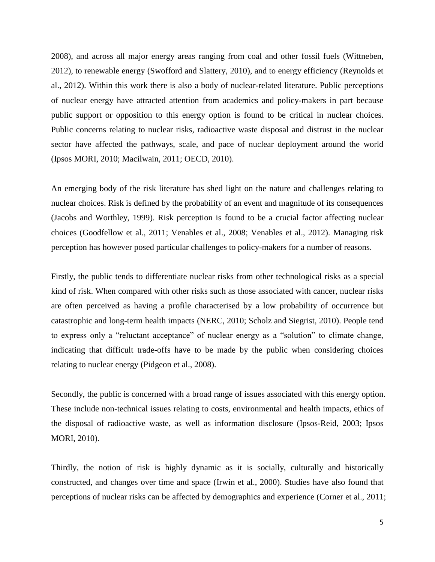2008), and across all major energy areas ranging from coal and other fossil fuels (Wittneben, 2012), to renewable energy (Swofford and Slattery, 2010), and to energy efficiency (Reynolds et al., 2012). Within this work there is also a body of nuclear-related literature. Public perceptions of nuclear energy have attracted attention from academics and policy-makers in part because public support or opposition to this energy option is found to be critical in nuclear choices. Public concerns relating to nuclear risks, radioactive waste disposal and distrust in the nuclear sector have affected the pathways, scale, and pace of nuclear deployment around the world (Ipsos MORI, 2010; Macilwain, 2011; OECD, 2010).

An emerging body of the risk literature has shed light on the nature and challenges relating to nuclear choices. Risk is defined by the probability of an event and magnitude of its consequences (Jacobs and Worthley, 1999). Risk perception is found to be a crucial factor affecting nuclear choices (Goodfellow et al., 2011; Venables et al., 2008; Venables et al., 2012). Managing risk perception has however posed particular challenges to policy-makers for a number of reasons.

Firstly, the public tends to differentiate nuclear risks from other technological risks as a special kind of risk. When compared with other risks such as those associated with cancer, nuclear risks are often perceived as having a profile characterised by a low probability of occurrence but catastrophic and long-term health impacts (NERC, 2010; Scholz and Siegrist, 2010). People tend to express only a "reluctant acceptance" of nuclear energy as a "solution" to climate change, indicating that difficult trade-offs have to be made by the public when considering choices relating to nuclear energy (Pidgeon et al., 2008).

Secondly, the public is concerned with a broad range of issues associated with this energy option. These include non-technical issues relating to costs, environmental and health impacts, ethics of the disposal of radioactive waste, as well as information disclosure (Ipsos-Reid, 2003; Ipsos MORI, 2010).

Thirdly, the notion of risk is highly dynamic as it is socially, culturally and historically constructed, and changes over time and space (Irwin et al., 2000). Studies have also found that perceptions of nuclear risks can be affected by demographics and experience (Corner et al., 2011;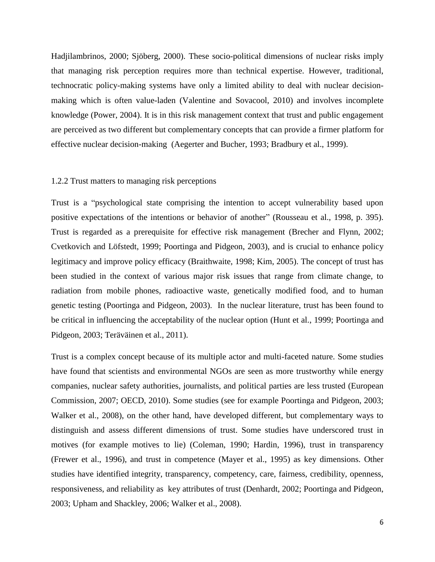Hadjilambrinos, 2000; Sjöberg, 2000). These socio-political dimensions of nuclear risks imply that managing risk perception requires more than technical expertise. However, traditional, technocratic policy-making systems have only a limited ability to deal with nuclear decisionmaking which is often value-laden (Valentine and Sovacool, 2010) and involves incomplete knowledge (Power, 2004). It is in this risk management context that trust and public engagement are perceived as two different but complementary concepts that can provide a firmer platform for effective nuclear decision-making (Aegerter and Bucher, 1993; Bradbury et al., 1999).

# 1.2.2 Trust matters to managing risk perceptions

Trust is a "psychological state comprising the intention to accept vulnerability based upon positive expectations of the intentions or behavior of another" (Rousseau et al., 1998, p. 395). Trust is regarded as a prerequisite for effective risk management (Brecher and Flynn, 2002; Cvetkovich and Löfstedt, 1999; Poortinga and Pidgeon, 2003), and is crucial to enhance policy legitimacy and improve policy efficacy (Braithwaite, 1998; Kim, 2005). The concept of trust has been studied in the context of various major risk issues that range from climate change, to radiation from mobile phones, radioactive waste, genetically modified food, and to human genetic testing (Poortinga and Pidgeon, 2003). In the nuclear literature, trust has been found to be critical in influencing the acceptability of the nuclear option (Hunt et al., 1999; Poortinga and Pidgeon, 2003; Teräväinen et al., 2011).

Trust is a complex concept because of its multiple actor and multi-faceted nature. Some studies have found that scientists and environmental NGOs are seen as more trustworthy while energy companies, nuclear safety authorities, journalists, and political parties are less trusted (European Commission, 2007; OECD, 2010). Some studies (see for example Poortinga and Pidgeon, 2003; Walker et al., 2008), on the other hand, have developed different, but complementary ways to distinguish and assess different dimensions of trust. Some studies have underscored trust in motives (for example motives to lie) (Coleman, 1990; Hardin, 1996), trust in transparency (Frewer et al., 1996), and trust in competence (Mayer et al., 1995) as key dimensions. Other studies have identified integrity, transparency, competency, care, fairness, credibility, openness, responsiveness, and reliability as key attributes of trust (Denhardt, 2002; Poortinga and Pidgeon, 2003; Upham and Shackley, 2006; Walker et al., 2008).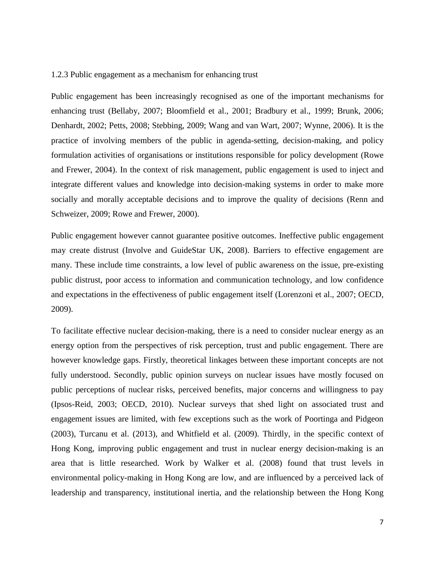### 1.2.3 Public engagement as a mechanism for enhancing trust

Public engagement has been increasingly recognised as one of the important mechanisms for enhancing trust (Bellaby, 2007; Bloomfield et al., 2001; Bradbury et al., 1999; Brunk, 2006; Denhardt, 2002; Petts, 2008; Stebbing, 2009; Wang and van Wart, 2007; Wynne, 2006). It is the practice of involving members of the public in agenda-setting, decision-making, and policy formulation activities of organisations or institutions responsible for policy development (Rowe and Frewer, 2004). In the context of risk management, public engagement is used to inject and integrate different values and knowledge into decision-making systems in order to make more socially and morally acceptable decisions and to improve the quality of decisions (Renn and Schweizer, 2009; Rowe and Frewer, 2000).

Public engagement however cannot guarantee positive outcomes. Ineffective public engagement may create distrust (Involve and GuideStar UK, 2008). Barriers to effective engagement are many. These include time constraints, a low level of public awareness on the issue, pre-existing public distrust, poor access to information and communication technology, and low confidence and expectations in the effectiveness of public engagement itself (Lorenzoni et al., 2007; OECD, 2009).

To facilitate effective nuclear decision-making, there is a need to consider nuclear energy as an energy option from the perspectives of risk perception, trust and public engagement. There are however knowledge gaps. Firstly, theoretical linkages between these important concepts are not fully understood. Secondly, public opinion surveys on nuclear issues have mostly focused on public perceptions of nuclear risks, perceived benefits, major concerns and willingness to pay (Ipsos-Reid, 2003; OECD, 2010). Nuclear surveys that shed light on associated trust and engagement issues are limited, with few exceptions such as the work of Poortinga and Pidgeon (2003), Turcanu et al. (2013), and Whitfield et al. (2009). Thirdly, in the specific context of Hong Kong, improving public engagement and trust in nuclear energy decision-making is an area that is little researched. Work by Walker et al. (2008) found that trust levels in environmental policy-making in Hong Kong are low, and are influenced by a perceived lack of leadership and transparency, institutional inertia, and the relationship between the Hong Kong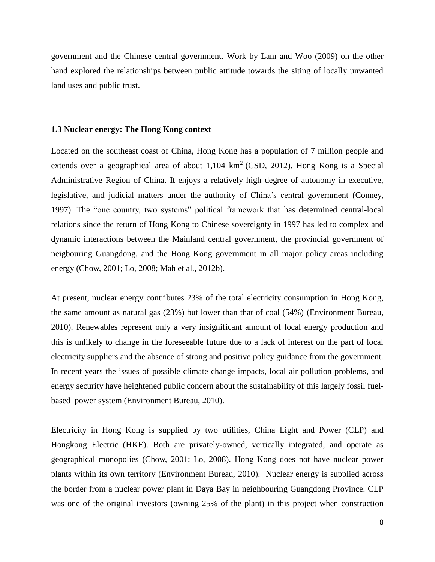government and the Chinese central government. Work by Lam and Woo (2009) on the other hand explored the relationships between public attitude towards the siting of locally unwanted land uses and public trust.

# **1.3 Nuclear energy: The Hong Kong context**

Located on the southeast coast of China, Hong Kong has a population of 7 million people and extends over a geographical area of about  $1,104 \text{ km}^2 \text{ (CSD, 2012)}$ . Hong Kong is a Special Administrative Region of China. It enjoys a relatively high degree of autonomy in executive, legislative, and judicial matters under the authority of China's central government (Conney, 1997). The "one country, two systems" political framework that has determined central-local relations since the return of Hong Kong to Chinese sovereignty in 1997 has led to complex and dynamic interactions between the Mainland central government, the provincial government of neigbouring Guangdong, and the Hong Kong government in all major policy areas including energy (Chow, 2001; Lo, 2008; Mah et al., 2012b).

At present, nuclear energy contributes 23% of the total electricity consumption in Hong Kong, the same amount as natural gas (23%) but lower than that of coal (54%) (Environment Bureau, 2010). Renewables represent only a very insignificant amount of local energy production and this is unlikely to change in the foreseeable future due to a lack of interest on the part of local electricity suppliers and the absence of strong and positive policy guidance from the government. In recent years the issues of possible climate change impacts, local air pollution problems, and energy security have heightened public concern about the sustainability of this largely fossil fuelbased power system (Environment Bureau, 2010).

Electricity in Hong Kong is supplied by two utilities, China Light and Power (CLP) and Hongkong Electric (HKE). Both are privately-owned, vertically integrated, and operate as geographical monopolies (Chow, 2001; Lo, 2008). Hong Kong does not have nuclear power plants within its own territory (Environment Bureau, 2010). Nuclear energy is supplied across the border from a nuclear power plant in Daya Bay in neighbouring Guangdong Province. CLP was one of the original investors (owning 25% of the plant) in this project when construction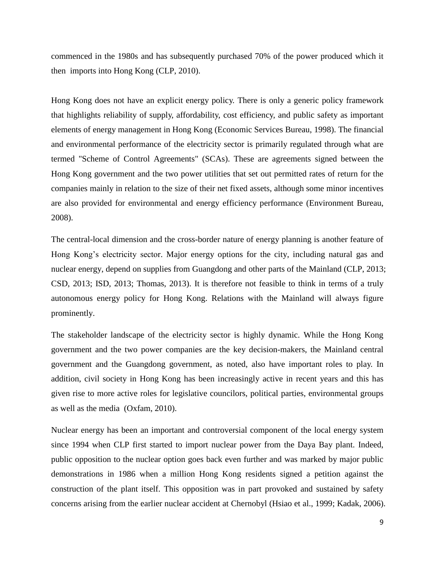commenced in the 1980s and has subsequently purchased 70% of the power produced which it then imports into Hong Kong (CLP, 2010).

Hong Kong does not have an explicit energy policy. There is only a generic policy framework that highlights reliability of supply, affordability, cost efficiency, and public safety as important elements of energy management in Hong Kong (Economic Services Bureau, 1998). The financial and environmental performance of the electricity sector is primarily regulated through what are termed "Scheme of Control Agreements" (SCAs). These are agreements signed between the Hong Kong government and the two power utilities that set out permitted rates of return for the companies mainly in relation to the size of their net fixed assets, although some minor incentives are also provided for environmental and energy efficiency performance (Environment Bureau, 2008).

The central-local dimension and the cross-border nature of energy planning is another feature of Hong Kong's electricity sector. Major energy options for the city, including natural gas and nuclear energy, depend on supplies from Guangdong and other parts of the Mainland (CLP, 2013; CSD, 2013; ISD, 2013; Thomas, 2013). It is therefore not feasible to think in terms of a truly autonomous energy policy for Hong Kong. Relations with the Mainland will always figure prominently.

The stakeholder landscape of the electricity sector is highly dynamic. While the Hong Kong government and the two power companies are the key decision-makers, the Mainland central government and the Guangdong government, as noted, also have important roles to play. In addition, civil society in Hong Kong has been increasingly active in recent years and this has given rise to more active roles for legislative councilors, political parties, environmental groups as well as the media (Oxfam, 2010).

Nuclear energy has been an important and controversial component of the local energy system since 1994 when CLP first started to import nuclear power from the Daya Bay plant. Indeed, public opposition to the nuclear option goes back even further and was marked by major public demonstrations in 1986 when a million Hong Kong residents signed a petition against the construction of the plant itself. This opposition was in part provoked and sustained by safety concerns arising from the earlier nuclear accident at Chernobyl (Hsiao et al., 1999; Kadak, 2006).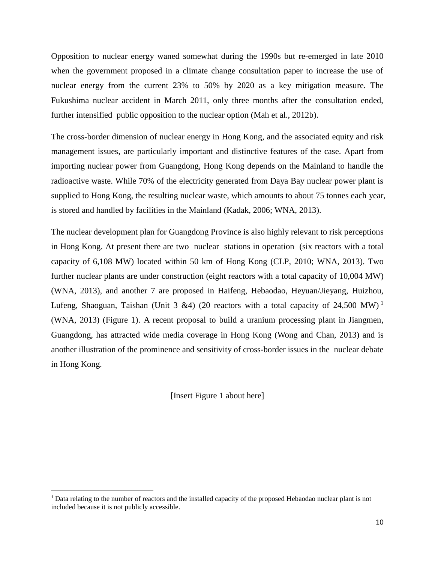Opposition to nuclear energy waned somewhat during the 1990s but re-emerged in late 2010 when the government proposed in a climate change consultation paper to increase the use of nuclear energy from the current 23% to 50% by 2020 as a key mitigation measure. The Fukushima nuclear accident in March 2011, only three months after the consultation ended, further intensified public opposition to the nuclear option (Mah et al., 2012b).

The cross-border dimension of nuclear energy in Hong Kong, and the associated equity and risk management issues, are particularly important and distinctive features of the case. Apart from importing nuclear power from Guangdong, Hong Kong depends on the Mainland to handle the radioactive waste. While 70% of the electricity generated from Daya Bay nuclear power plant is supplied to Hong Kong, the resulting nuclear waste, which amounts to about 75 tonnes each year, is stored and handled by facilities in the Mainland (Kadak, 2006; WNA, 2013).

The nuclear development plan for Guangdong Province is also highly relevant to risk perceptions in Hong Kong. At present there are two nuclear stations in operation (six reactors with a total capacity of 6,108 MW) located within 50 km of Hong Kong (CLP, 2010; WNA, 2013). Two further nuclear plants are under construction (eight reactors with a total capacity of 10,004 MW) (WNA, 2013), and another 7 are proposed in Haifeng, Hebaodao, Heyuan/Jieyang, Huizhou, Lufeng, Shaoguan, Taishan (Unit 3 &4) (20 reactors with a total capacity of 24,500 MW)<sup>1</sup> (WNA, 2013) (Figure 1). A recent proposal to build a uranium processing plant in Jiangmen, Guangdong, has attracted wide media coverage in Hong Kong (Wong and Chan, 2013) and is another illustration of the prominence and sensitivity of cross-border issues in the nuclear debate in Hong Kong.

[Insert Figure 1 about here]

l

<sup>1</sup> Data relating to the number of reactors and the installed capacity of the proposed Hebaodao nuclear plant is not included because it is not publicly accessible.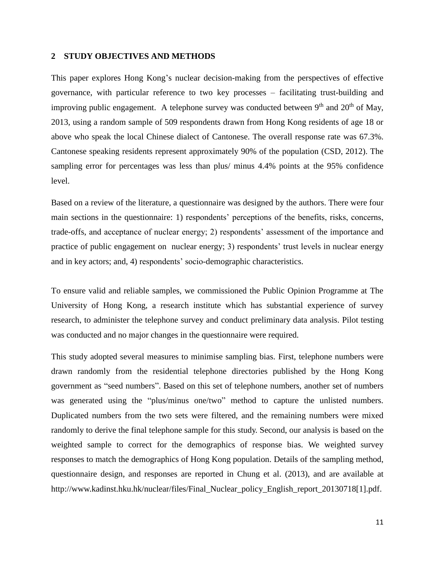# **2 STUDY OBJECTIVES AND METHODS**

This paper explores Hong Kong's nuclear decision-making from the perspectives of effective governance, with particular reference to two key processes – facilitating trust-building and improving public engagement. A telephone survey was conducted between  $9<sup>th</sup>$  and  $20<sup>th</sup>$  of May, 2013, using a random sample of 509 respondents drawn from Hong Kong residents of age 18 or above who speak the local Chinese dialect of Cantonese. The overall response rate was 67.3%. Cantonese speaking residents represent approximately 90% of the population (CSD, 2012). The sampling error for percentages was less than plus/ minus 4.4% points at the 95% confidence level.

Based on a review of the literature, a questionnaire was designed by the authors. There were four main sections in the questionnaire: 1) respondents' perceptions of the benefits, risks, concerns, trade-offs, and acceptance of nuclear energy; 2) respondents' assessment of the importance and practice of public engagement on nuclear energy; 3) respondents' trust levels in nuclear energy and in key actors; and, 4) respondents' socio-demographic characteristics.

To ensure valid and reliable samples, we commissioned the Public Opinion Programme at The University of Hong Kong, a research institute which has substantial experience of survey research, to administer the telephone survey and conduct preliminary data analysis. Pilot testing was conducted and no major changes in the questionnaire were required.

This study adopted several measures to minimise sampling bias. First, telephone numbers were drawn randomly from the residential telephone directories published by the Hong Kong government as "seed numbers". Based on this set of telephone numbers, another set of numbers was generated using the "plus/minus one/two" method to capture the unlisted numbers. Duplicated numbers from the two sets were filtered, and the remaining numbers were mixed randomly to derive the final telephone sample for this study. Second, our analysis is based on the weighted sample to correct for the demographics of response bias. We weighted survey responses to match the demographics of Hong Kong population. Details of the sampling method, questionnaire design, and responses are reported in Chung et al. (2013), and are available at http://www.kadinst.hku.hk/nuclear/files/Final\_Nuclear\_policy\_English\_report\_20130718[1].pdf.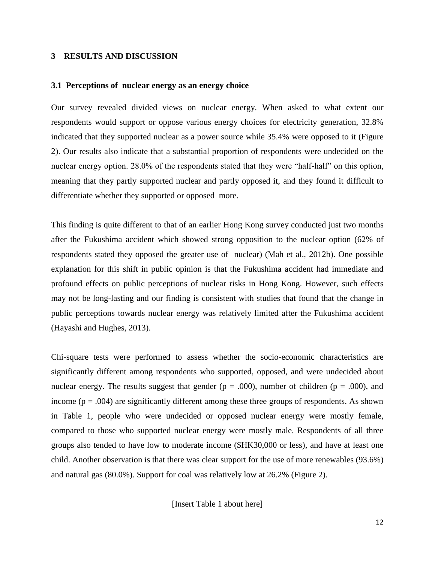# **3 RESULTS AND DISCUSSION**

# **3.1 Perceptions of nuclear energy as an energy choice**

Our survey revealed divided views on nuclear energy. When asked to what extent our respondents would support or oppose various energy choices for electricity generation, 32.8% indicated that they supported nuclear as a power source while 35.4% were opposed to it (Figure 2). Our results also indicate that a substantial proportion of respondents were undecided on the nuclear energy option. 28.0% of the respondents stated that they were "half-half" on this option, meaning that they partly supported nuclear and partly opposed it, and they found it difficult to differentiate whether they supported or opposed more.

This finding is quite different to that of an earlier Hong Kong survey conducted just two months after the Fukushima accident which showed strong opposition to the nuclear option (62% of respondents stated they opposed the greater use of nuclear) (Mah et al., 2012b). One possible explanation for this shift in public opinion is that the Fukushima accident had immediate and profound effects on public perceptions of nuclear risks in Hong Kong. However, such effects may not be long-lasting and our finding is consistent with studies that found that the change in public perceptions towards nuclear energy was relatively limited after the Fukushima accident (Hayashi and Hughes, 2013).

Chi-square tests were performed to assess whether the socio-economic characteristics are significantly different among respondents who supported, opposed, and were undecided about nuclear energy. The results suggest that gender ( $p = .000$ ), number of children ( $p = .000$ ), and income  $(p = .004)$  are significantly different among these three groups of respondents. As shown in Table 1, people who were undecided or opposed nuclear energy were mostly female, compared to those who supported nuclear energy were mostly male. Respondents of all three groups also tended to have low to moderate income (\$HK30,000 or less), and have at least one child. Another observation is that there was clear support for the use of more renewables (93.6%) and natural gas (80.0%). Support for coal was relatively low at 26.2% (Figure 2).

[Insert Table 1 about here]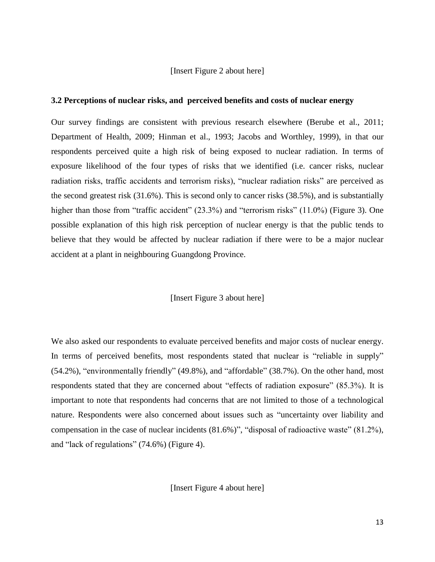# [Insert Figure 2 about here]

### **3.2 Perceptions of nuclear risks, and perceived benefits and costs of nuclear energy**

Our survey findings are consistent with previous research elsewhere (Berube et al., 2011; Department of Health, 2009; Hinman et al., 1993; Jacobs and Worthley, 1999), in that our respondents perceived quite a high risk of being exposed to nuclear radiation. In terms of exposure likelihood of the four types of risks that we identified (i.e. cancer risks, nuclear radiation risks, traffic accidents and terrorism risks), "nuclear radiation risks" are perceived as the second greatest risk (31.6%). This is second only to cancer risks (38.5%), and is substantially higher than those from "traffic accident" (23.3%) and "terrorism risks" (11.0%) (Figure 3). One possible explanation of this high risk perception of nuclear energy is that the public tends to believe that they would be affected by nuclear radiation if there were to be a major nuclear accident at a plant in neighbouring Guangdong Province.

# [Insert Figure 3 about here]

We also asked our respondents to evaluate perceived benefits and major costs of nuclear energy. In terms of perceived benefits, most respondents stated that nuclear is "reliable in supply" (54.2%), "environmentally friendly" (49.8%), and "affordable" (38.7%). On the other hand, most respondents stated that they are concerned about "effects of radiation exposure" (85.3%). It is important to note that respondents had concerns that are not limited to those of a technological nature. Respondents were also concerned about issues such as "uncertainty over liability and compensation in the case of nuclear incidents (81.6%)", "disposal of radioactive waste" (81.2%), and "lack of regulations" (74.6%) (Figure 4).

[Insert Figure 4 about here]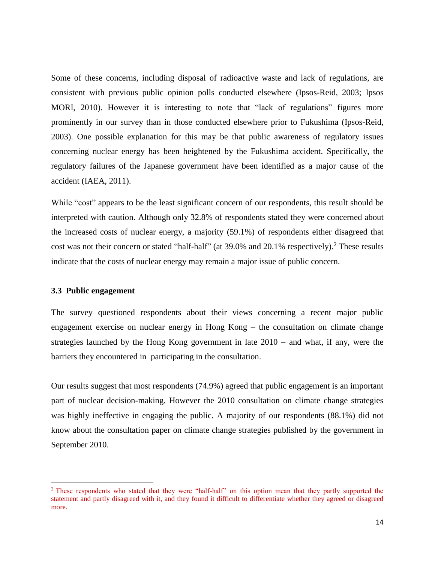Some of these concerns, including disposal of radioactive waste and lack of regulations, are consistent with previous public opinion polls conducted elsewhere (Ipsos-Reid, 2003; Ipsos MORI, 2010). However it is interesting to note that "lack of regulations" figures more prominently in our survey than in those conducted elsewhere prior to Fukushima (Ipsos-Reid, 2003). One possible explanation for this may be that public awareness of regulatory issues concerning nuclear energy has been heightened by the Fukushima accident. Specifically, the regulatory failures of the Japanese government have been identified as a major cause of the accident (IAEA, 2011).

While "cost" appears to be the least significant concern of our respondents, this result should be interpreted with caution. Although only 32.8% of respondents stated they were concerned about the increased costs of nuclear energy, a majority (59.1%) of respondents either disagreed that cost was not their concern or stated "half-half" (at 39.0% and 20.1% respectively).<sup>2</sup> These results indicate that the costs of nuclear energy may remain a major issue of public concern.

### **3.3 Public engagement**

 $\overline{\phantom{a}}$ 

The survey questioned respondents about their views concerning a recent major public engagement exercise on nuclear energy in Hong Kong – the consultation on climate change strategies launched by the Hong Kong government in late 2010 **–** and what, if any, were the barriers they encountered in participating in the consultation.

Our results suggest that most respondents (74.9%) agreed that public engagement is an important part of nuclear decision-making. However the 2010 consultation on climate change strategies was highly ineffective in engaging the public. A majority of our respondents (88.1%) did not know about the consultation paper on climate change strategies published by the government in September 2010.

<sup>&</sup>lt;sup>2</sup> These respondents who stated that they were "half-half" on this option mean that they partly supported the statement and partly disagreed with it, and they found it difficult to differentiate whether they agreed or disagreed more.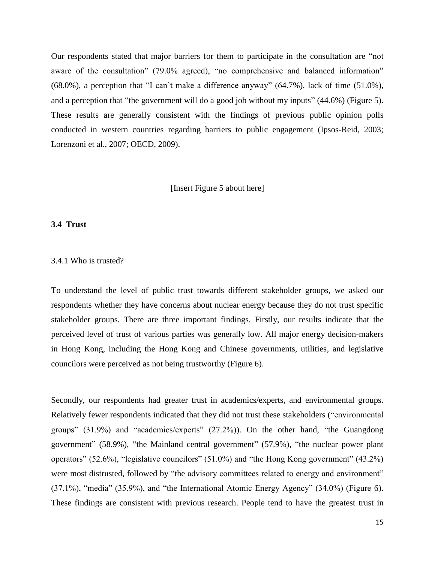Our respondents stated that major barriers for them to participate in the consultation are "not aware of the consultation" (79.0% agreed), "no comprehensive and balanced information" (68.0%), a perception that "I can't make a difference anyway" (64.7%), lack of time (51.0%), and a perception that "the government will do a good job without my inputs" (44.6%) (Figure 5). These results are generally consistent with the findings of previous public opinion polls conducted in western countries regarding barriers to public engagement (Ipsos-Reid, 2003; Lorenzoni et al., 2007; OECD, 2009).

## [Insert Figure 5 about here]

# **3.4 Trust**

# 3.4.1 Who is trusted?

To understand the level of public trust towards different stakeholder groups, we asked our respondents whether they have concerns about nuclear energy because they do not trust specific stakeholder groups. There are three important findings. Firstly, our results indicate that the perceived level of trust of various parties was generally low. All major energy decision-makers in Hong Kong, including the Hong Kong and Chinese governments, utilities, and legislative councilors were perceived as not being trustworthy (Figure 6).

Secondly, our respondents had greater trust in academics/experts, and environmental groups. Relatively fewer respondents indicated that they did not trust these stakeholders ("environmental groups" (31.9%) and "academics/experts" (27.2%)). On the other hand, "the Guangdong government" (58.9%), "the Mainland central government" (57.9%), "the nuclear power plant operators" (52.6%), "legislative councilors" (51.0%) and "the Hong Kong government" (43.2%) were most distrusted, followed by "the advisory committees related to energy and environment" (37.1%), "media" (35.9%), and "the International Atomic Energy Agency" (34.0%) (Figure 6). These findings are consistent with previous research. People tend to have the greatest trust in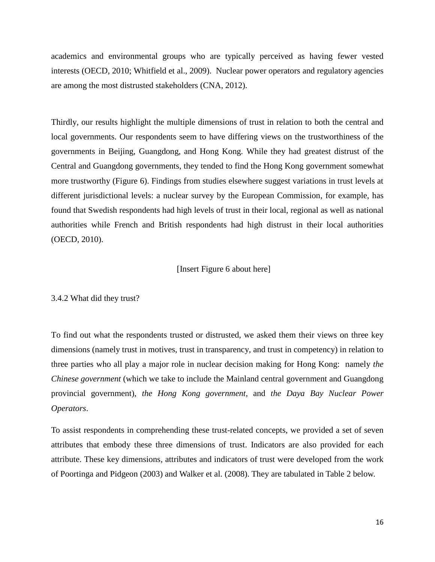academics and environmental groups who are typically perceived as having fewer vested interests (OECD, 2010; Whitfield et al., 2009). Nuclear power operators and regulatory agencies are among the most distrusted stakeholders (CNA, 2012).

Thirdly, our results highlight the multiple dimensions of trust in relation to both the central and local governments. Our respondents seem to have differing views on the trustworthiness of the governments in Beijing, Guangdong, and Hong Kong. While they had greatest distrust of the Central and Guangdong governments, they tended to find the Hong Kong government somewhat more trustworthy (Figure 6). Findings from studies elsewhere suggest variations in trust levels at different jurisdictional levels: a nuclear survey by the European Commission, for example, has found that Swedish respondents had high levels of trust in their local, regional as well as national authorities while French and British respondents had high distrust in their local authorities (OECD, 2010).

# [Insert Figure 6 about here]

### 3.4.2 What did they trust?

To find out what the respondents trusted or distrusted, we asked them their views on three key dimensions (namely trust in motives, trust in transparency, and trust in competency) in relation to three parties who all play a major role in nuclear decision making for Hong Kong: namely *the Chinese government* (which we take to include the Mainland central government and Guangdong provincial government), *the Hong Kong government,* and *the Daya Bay Nuclear Power Operators*.

To assist respondents in comprehending these trust-related concepts, we provided a set of seven attributes that embody these three dimensions of trust. Indicators are also provided for each attribute. These key dimensions, attributes and indicators of trust were developed from the work of Poortinga and Pidgeon (2003) and Walker et al. (2008). They are tabulated in Table 2 below.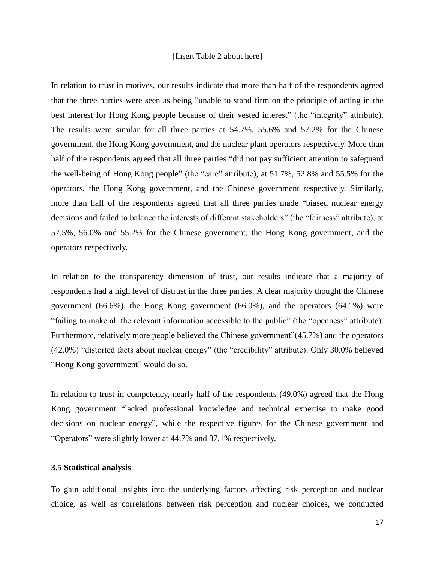### [Insert Table 2 about here]

In relation to trust in motives, our results indicate that more than half of the respondents agreed that the three parties were seen as being "unable to stand firm on the principle of acting in the best interest for Hong Kong people because of their vested interest" (the "integrity" attribute). The results were similar for all three parties at 54.7%, 55.6% and 57.2% for the Chinese government, the Hong Kong government, and the nuclear plant operators respectively. More than half of the respondents agreed that all three parties "did not pay sufficient attention to safeguard the well-being of Hong Kong people" (the "care" attribute), at 51.7%, 52.8% and 55.5% for the operators, the Hong Kong government, and the Chinese government respectively. Similarly, more than half of the respondents agreed that all three parties made "biased nuclear energy decisions and failed to balance the interests of different stakeholders" (the "fairness" attribute), at 57.5%, 56.0% and 55.2% for the Chinese government, the Hong Kong government, and the operators respectively.

In relation to the transparency dimension of trust, our results indicate that a majority of respondents had a high level of distrust in the three parties. A clear majority thought the Chinese government (66.6%), the Hong Kong government (66.0%), and the operators (64.1%) were "failing to make all the relevant information accessible to the public" (the "openness" attribute). Furthermore, relatively more people believed the Chinese government" (45.7%) and the operators (42.0%) "distorted facts about nuclear energy" (the "credibility" attribute). Only 30.0% believed "Hong Kong government" would do so.

In relation to trust in competency, nearly half of the respondents (49.0%) agreed that the Hong Kong government "lacked professional knowledge and technical expertise to make good decisions on nuclear energy", while the respective figures for the Chinese government and "Operators" were slightly lower at 44.7% and 37.1% respectively.

# **3.5 Statistical analysis**

To gain additional insights into the underlying factors affecting risk perception and nuclear choice, as well as correlations between risk perception and nuclear choices, we conducted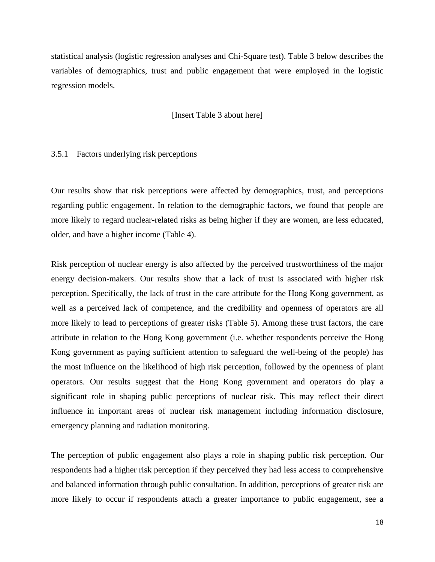statistical analysis (logistic regression analyses and Chi-Square test). Table 3 below describes the variables of demographics, trust and public engagement that were employed in the logistic regression models.

# [Insert Table 3 about here]

# 3.5.1 Factors underlying risk perceptions

Our results show that risk perceptions were affected by demographics, trust, and perceptions regarding public engagement. In relation to the demographic factors, we found that people are more likely to regard nuclear-related risks as being higher if they are women, are less educated, older, and have a higher income (Table 4).

Risk perception of nuclear energy is also affected by the perceived trustworthiness of the major energy decision-makers. Our results show that a lack of trust is associated with higher risk perception. Specifically, the lack of trust in the care attribute for the Hong Kong government, as well as a perceived lack of competence, and the credibility and openness of operators are all more likely to lead to perceptions of greater risks (Table 5). Among these trust factors, the care attribute in relation to the Hong Kong government (i.e. whether respondents perceive the Hong Kong government as paying sufficient attention to safeguard the well-being of the people) has the most influence on the likelihood of high risk perception, followed by the openness of plant operators. Our results suggest that the Hong Kong government and operators do play a significant role in shaping public perceptions of nuclear risk. This may reflect their direct influence in important areas of nuclear risk management including information disclosure, emergency planning and radiation monitoring.

The perception of public engagement also plays a role in shaping public risk perception. Our respondents had a higher risk perception if they perceived they had less access to comprehensive and balanced information through public consultation. In addition, perceptions of greater risk are more likely to occur if respondents attach a greater importance to public engagement, see a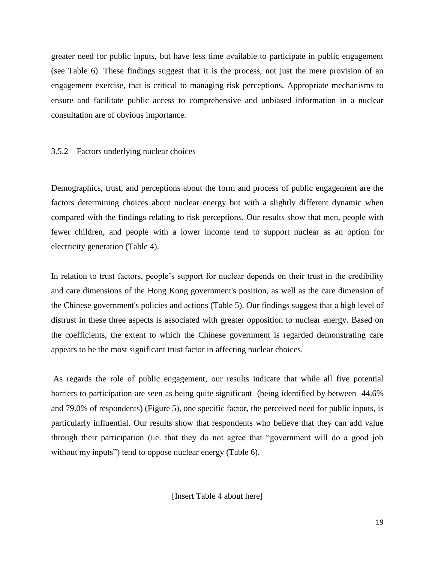greater need for public inputs, but have less time available to participate in public engagement (see Table 6). These findings suggest that it is the process, not just the mere provision of an engagement exercise, that is critical to managing risk perceptions. Appropriate mechanisms to ensure and facilitate public access to comprehensive and unbiased information in a nuclear consultation are of obvious importance.

# 3.5.2 Factors underlying nuclear choices

Demographics, trust, and perceptions about the form and process of public engagement are the factors determining choices about nuclear energy but with a slightly different dynamic when compared with the findings relating to risk perceptions. Our results show that men, people with fewer children, and people with a lower income tend to support nuclear as an option for electricity generation (Table 4).

In relation to trust factors, people's support for nuclear depends on their trust in the credibility and care dimensions of the Hong Kong government's position, as well as the care dimension of the Chinese government's policies and actions (Table 5). Our findings suggest that a high level of distrust in these three aspects is associated with greater opposition to nuclear energy. Based on the coefficients, the extent to which the Chinese government is regarded demonstrating care appears to be the most significant trust factor in affecting nuclear choices.

As regards the role of public engagement, our results indicate that while all five potential barriers to participation are seen as being quite significant (being identified by between 44.6% and 79.0% of respondents) (Figure 5), one specific factor, the perceived need for public inputs, is particularly influential. Our results show that respondents who believe that they can add value through their participation (i.e. that they do not agree that "government will do a good job without my inputs") tend to oppose nuclear energy (Table 6).

[Insert Table 4 about here]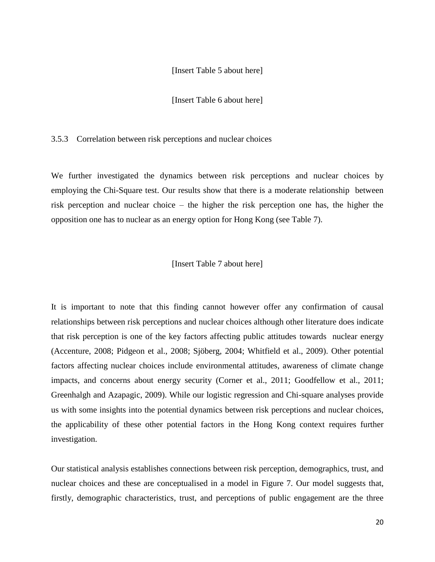### [Insert Table 5 about here]

[Insert Table 6 about here]

3.5.3 Correlation between risk perceptions and nuclear choices

We further investigated the dynamics between risk perceptions and nuclear choices by employing the Chi-Square test. Our results show that there is a moderate relationship between risk perception and nuclear choice – the higher the risk perception one has, the higher the opposition one has to nuclear as an energy option for Hong Kong (see Table 7).

### [Insert Table 7 about here]

It is important to note that this finding cannot however offer any confirmation of causal relationships between risk perceptions and nuclear choices although other literature does indicate that risk perception is one of the key factors affecting public attitudes towards nuclear energy (Accenture, 2008; Pidgeon et al., 2008; Sjöberg, 2004; Whitfield et al., 2009). Other potential factors affecting nuclear choices include environmental attitudes, awareness of climate change impacts, and concerns about energy security (Corner et al., 2011; Goodfellow et al., 2011; Greenhalgh and Azapagic, 2009). While our logistic regression and Chi-square analyses provide us with some insights into the potential dynamics between risk perceptions and nuclear choices, the applicability of these other potential factors in the Hong Kong context requires further investigation.

Our statistical analysis establishes connections between risk perception, demographics, trust, and nuclear choices and these are conceptualised in a model in Figure 7. Our model suggests that, firstly, demographic characteristics, trust, and perceptions of public engagement are the three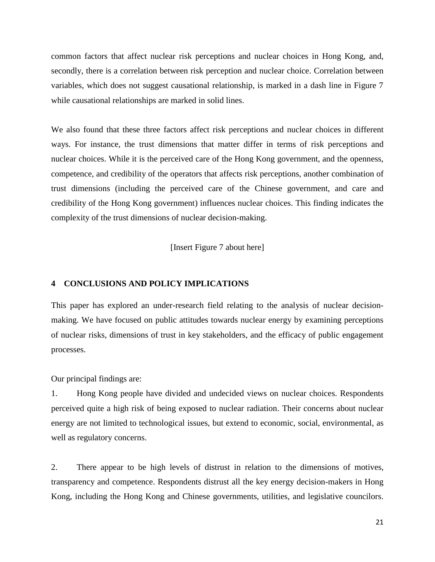common factors that affect nuclear risk perceptions and nuclear choices in Hong Kong, and, secondly, there is a correlation between risk perception and nuclear choice. Correlation between variables, which does not suggest causational relationship, is marked in a dash line in Figure 7 while causational relationships are marked in solid lines.

We also found that these three factors affect risk perceptions and nuclear choices in different ways. For instance, the trust dimensions that matter differ in terms of risk perceptions and nuclear choices. While it is the perceived care of the Hong Kong government, and the openness, competence, and credibility of the operators that affects risk perceptions, another combination of trust dimensions (including the perceived care of the Chinese government, and care and credibility of the Hong Kong government) influences nuclear choices. This finding indicates the complexity of the trust dimensions of nuclear decision-making.

[Insert Figure 7 about here]

### **4 CONCLUSIONS AND POLICY IMPLICATIONS**

This paper has explored an under-research field relating to the analysis of nuclear decisionmaking. We have focused on public attitudes towards nuclear energy by examining perceptions of nuclear risks, dimensions of trust in key stakeholders, and the efficacy of public engagement processes.

Our principal findings are:

1. Hong Kong people have divided and undecided views on nuclear choices. Respondents perceived quite a high risk of being exposed to nuclear radiation. Their concerns about nuclear energy are not limited to technological issues, but extend to economic, social, environmental, as well as regulatory concerns.

2. There appear to be high levels of distrust in relation to the dimensions of motives, transparency and competence. Respondents distrust all the key energy decision-makers in Hong Kong, including the Hong Kong and Chinese governments, utilities, and legislative councilors.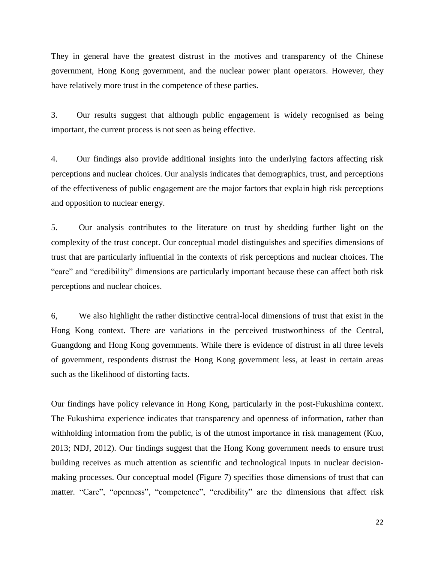They in general have the greatest distrust in the motives and transparency of the Chinese government, Hong Kong government, and the nuclear power plant operators. However, they have relatively more trust in the competence of these parties.

3. Our results suggest that although public engagement is widely recognised as being important, the current process is not seen as being effective.

4. Our findings also provide additional insights into the underlying factors affecting risk perceptions and nuclear choices. Our analysis indicates that demographics, trust, and perceptions of the effectiveness of public engagement are the major factors that explain high risk perceptions and opposition to nuclear energy.

5. Our analysis contributes to the literature on trust by shedding further light on the complexity of the trust concept. Our conceptual model distinguishes and specifies dimensions of trust that are particularly influential in the contexts of risk perceptions and nuclear choices. The "care" and "credibility" dimensions are particularly important because these can affect both risk perceptions and nuclear choices.

6, We also highlight the rather distinctive central-local dimensions of trust that exist in the Hong Kong context. There are variations in the perceived trustworthiness of the Central, Guangdong and Hong Kong governments. While there is evidence of distrust in all three levels of government, respondents distrust the Hong Kong government less, at least in certain areas such as the likelihood of distorting facts.

Our findings have policy relevance in Hong Kong, particularly in the post-Fukushima context. The Fukushima experience indicates that transparency and openness of information, rather than withholding information from the public, is of the utmost importance in risk management (Kuo, 2013; NDJ, 2012). Our findings suggest that the Hong Kong government needs to ensure trust building receives as much attention as scientific and technological inputs in nuclear decisionmaking processes. Our conceptual model (Figure 7) specifies those dimensions of trust that can matter. "Care", "openness", "competence", "credibility" are the dimensions that affect risk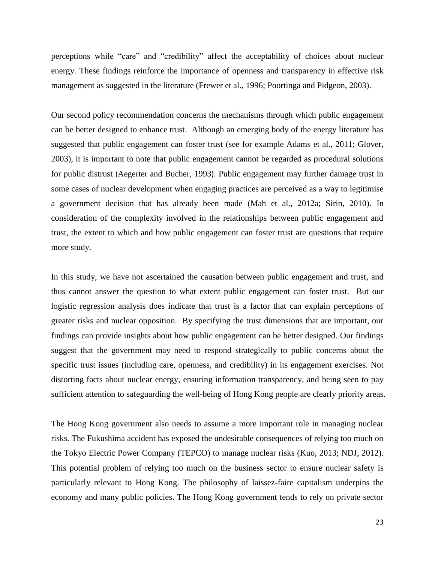perceptions while "care" and "credibility" affect the acceptability of choices about nuclear energy. These findings reinforce the importance of openness and transparency in effective risk management as suggested in the literature (Frewer et al., 1996; Poortinga and Pidgeon, 2003).

Our second policy recommendation concerns the mechanisms through which public engagement can be better designed to enhance trust. Although an emerging body of the energy literature has suggested that public engagement can foster trust (see for example Adams et al., 2011; Glover, 2003), it is important to note that public engagement cannot be regarded as procedural solutions for public distrust (Aegerter and Bucher, 1993). Public engagement may further damage trust in some cases of nuclear development when engaging practices are perceived as a way to legitimise a government decision that has already been made (Mah et al., 2012a; Sirin, 2010). In consideration of the complexity involved in the relationships between public engagement and trust, the extent to which and how public engagement can foster trust are questions that require more study.

In this study, we have not ascertained the causation between public engagement and trust, and thus cannot answer the question to what extent public engagement can foster trust. But our logistic regression analysis does indicate that trust is a factor that can explain perceptions of greater risks and nuclear opposition. By specifying the trust dimensions that are important, our findings can provide insights about how public engagement can be better designed. Our findings suggest that the government may need to respond strategically to public concerns about the specific trust issues (including care, openness, and credibility) in its engagement exercises. Not distorting facts about nuclear energy, ensuring information transparency, and being seen to pay sufficient attention to safeguarding the well-being of Hong Kong people are clearly priority areas.

The Hong Kong government also needs to assume a more important role in managing nuclear risks. The Fukushima accident has exposed the undesirable consequences of relying too much on the Tokyo Electric Power Company (TEPCO) to manage nuclear risks (Kuo, 2013; NDJ, 2012). This potential problem of relying too much on the business sector to ensure nuclear safety is particularly relevant to Hong Kong. The philosophy of laissez-faire capitalism underpins the economy and many public policies. The Hong Kong government tends to rely on private sector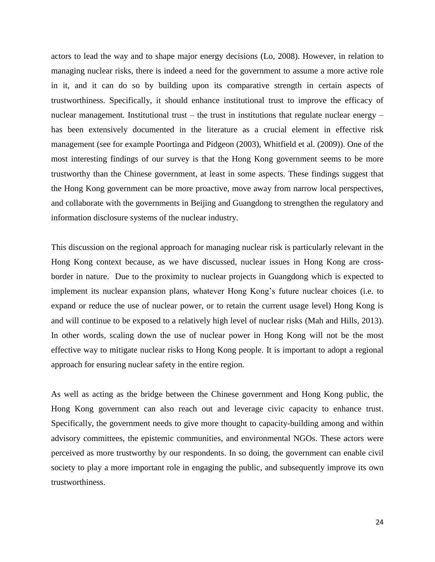actors to lead the way and to shape major energy decisions (Lo, 2008). However, in relation to managing nuclear risks, there is indeed a need for the government to assume a more active role in it, and it can do so by building upon its comparative strength in certain aspects of trustworthiness. Specifically, it should enhance institutional trust to improve the efficacy of nuclear management. Institutional trust – the trust in institutions that regulate nuclear energy – has been extensively documented in the literature as a crucial element in effective risk management (see for example Poortinga and Pidgeon (2003), Whitfield et al. (2009)). One of the most interesting findings of our survey is that the Hong Kong government seems to be more trustworthy than the Chinese government, at least in some aspects. These findings suggest that the Hong Kong government can be more proactive, move away from narrow local perspectives, and collaborate with the governments in Beijing and Guangdong to strengthen the regulatory and information disclosure systems of the nuclear industry.

This discussion on the regional approach for managing nuclear risk is particularly relevant in the Hong Kong context because, as we have discussed, nuclear issues in Hong Kong are crossborder in nature. Due to the proximity to nuclear projects in Guangdong which is expected to implement its nuclear expansion plans, whatever Hong Kong's future nuclear choices (i.e. to expand or reduce the use of nuclear power, or to retain the current usage level) Hong Kong is and will continue to be exposed to a relatively high level of nuclear risks (Mah and Hills, 2013). In other words, scaling down the use of nuclear power in Hong Kong will not be the most effective way to mitigate nuclear risks to Hong Kong people. It is important to adopt a regional approach for ensuring nuclear safety in the entire region.

As well as acting as the bridge between the Chinese government and Hong Kong public, the Hong Kong government can also reach out and leverage civic capacity to enhance trust. Specifically, the government needs to give more thought to capacity-building among and within advisory committees, the epistemic communities, and environmental NGOs. These actors were perceived as more trustworthy by our respondents. In so doing, the government can enable civil society to play a more important role in engaging the public, and subsequently improve its own trustworthiness.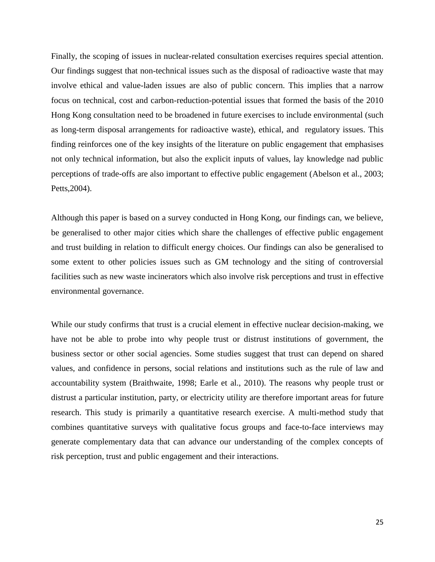Finally, the scoping of issues in nuclear-related consultation exercises requires special attention. Our findings suggest that non-technical issues such as the disposal of radioactive waste that may involve ethical and value-laden issues are also of public concern. This implies that a narrow focus on technical, cost and carbon-reduction-potential issues that formed the basis of the 2010 Hong Kong consultation need to be broadened in future exercises to include environmental (such as long-term disposal arrangements for radioactive waste), ethical, and regulatory issues. This finding reinforces one of the key insights of the literature on public engagement that emphasises not only technical information, but also the explicit inputs of values, lay knowledge nad public perceptions of trade-offs are also important to effective public engagement (Abelson et al., 2003; Petts,2004).

Although this paper is based on a survey conducted in Hong Kong, our findings can, we believe, be generalised to other major cities which share the challenges of effective public engagement and trust building in relation to difficult energy choices. Our findings can also be generalised to some extent to other policies issues such as GM technology and the siting of controversial facilities such as new waste incinerators which also involve risk perceptions and trust in effective environmental governance.

While our study confirms that trust is a crucial element in effective nuclear decision-making, we have not be able to probe into why people trust or distrust institutions of government, the business sector or other social agencies. Some studies suggest that trust can depend on shared values, and confidence in persons, social relations and institutions such as the rule of law and accountability system (Braithwaite, 1998; Earle et al., 2010). The reasons why people trust or distrust a particular institution, party, or electricity utility are therefore important areas for future research. This study is primarily a quantitative research exercise. A multi-method study that combines quantitative surveys with qualitative focus groups and face-to-face interviews may generate complementary data that can advance our understanding of the complex concepts of risk perception, trust and public engagement and their interactions.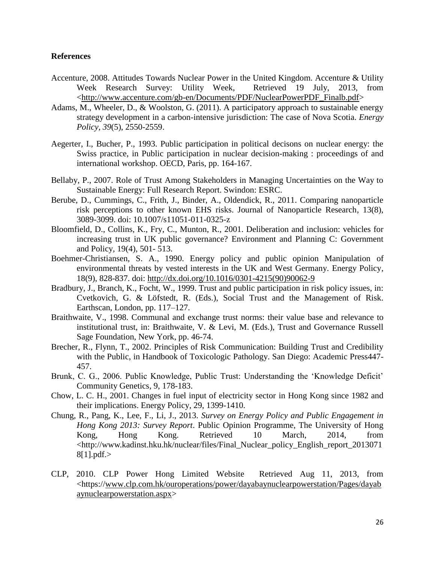# **References**

- Accenture, 2008. Attitudes Towards Nuclear Power in the United Kingdom. Accenture & Utility Week Research Survey: Utility Week, Retrieved 19 July, 2013, from [<http://www.accenture.com/gb-en/Documents/PDF/NuclearPowerPDF\\_Finalb.pdf>](http://www.accenture.com/gb-en/Documents/PDF/NuclearPowerPDF_Finalb.pdf)
- Adams, M., Wheeler, D., & Woolston, G. (2011). A participatory approach to sustainable energy strategy development in a carbon-intensive jurisdiction: The case of Nova Scotia. *Energy Policy, 39*(5), 2550-2559.
- Aegerter, I., Bucher, P., 1993. Public participation in political decisons on nuclear energy: the Swiss practice, in Public participation in nuclear decision-making : proceedings of and international workshop. OECD, Paris, pp. 164-167.
- Bellaby, P., 2007. Role of Trust Among Stakeholders in Managing Uncertainties on the Way to Sustainable Energy: Full Research Report. Swindon: ESRC.
- Berube, D., Cummings, C., Frith, J., Binder, A., Oldendick, R., 2011. Comparing nanoparticle risk perceptions to other known EHS risks. Journal of Nanoparticle Research*,* 13(8), 3089-3099. doi: 10.1007/s11051-011-0325-z
- Bloomfield, D., Collins, K., Fry, C., Munton, R., 2001. Deliberation and inclusion: vehicles for increasing trust in UK public governance? Environment and Planning C: Government and Policy*,* 19(4), 501- 513.
- Boehmer-Christiansen, S. A., 1990. Energy policy and public opinion Manipulation of environmental threats by vested interests in the UK and West Germany. Energy Policy*,*  18(9), 828-837. doi: [http://dx.doi.org/10.1016/0301-4215\(90\)90062-9](http://dx.doi.org/10.1016/0301-4215(90)90062-9)
- Bradbury, J., Branch, K., Focht, W., 1999. Trust and public participation in risk policy issues, in: Cvetkovich, G. & Löfstedt, R. (Eds.), Social Trust and the Management of Risk. Earthscan, London, pp. 117–127.
- Braithwaite, V., 1998. Communal and exchange trust norms: their value base and relevance to institutional trust, in: Braithwaite, V. & Levi, M. (Eds.), Trust and Governance Russell Sage Foundation, New York, pp. 46-74.
- Brecher, R., Flynn, T., 2002. Principles of Risk Communication: Building Trust and Credibility with the Public, in Handbook of Toxicologic Pathology. San Diego: Academic Press447- 457.
- Brunk, C. G., 2006. Public Knowledge, Public Trust: Understanding the 'Knowledge Deficit' Community Genetics*,* 9, 178-183.
- Chow, L. C. H., 2001. Changes in fuel input of electricity sector in Hong Kong since 1982 and their implications. Energy Policy*,* 29, 1399-1410.
- Chung, R., Pang, K., Lee, F., Li, J., 2013. *Survey on Energy Policy and Public Engagement in Hong Kong 2013: Survey Report*. Public Opinion Programme, The University of Hong Kong, Hong Kong. Retrieved 10 March, 2014, from <http://www.kadinst.hku.hk/nuclear/files/Final\_Nuclear\_policy\_English\_report\_2013071 8[1].pdf.>
- CLP, 2010. CLP Power Hong Limited Website Retrieved Aug 11, 2013, from <https:/[/www.clp.com.hk/ouroperations/power/dayabaynuclearpowerstation/Pages/dayab](http://www.clp.com.hk/ouroperations/power/dayabaynuclearpowerstation/Pages/dayabaynuclearpowerstation.aspx) [aynuclearpowerstation.aspx>](http://www.clp.com.hk/ouroperations/power/dayabaynuclearpowerstation/Pages/dayabaynuclearpowerstation.aspx)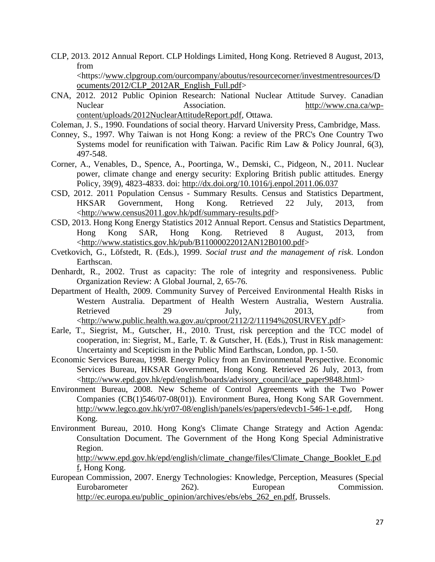CLP, 2013. 2012 Annual Report. CLP Holdings Limited, Hong Kong. Retrieved 8 August, 2013, from

<https:/[/www.clpgroup.com/ourcompany/aboutus/resourcecorner/investmentresources/D](http://www.clpgroup.com/ourcompany/aboutus/resourcecorner/investmentresources/Documents/2012/CLP_2012AR_English_Full.pdf) [ocuments/2012/CLP\\_2012AR\\_English\\_Full.pdf>](http://www.clpgroup.com/ourcompany/aboutus/resourcecorner/investmentresources/Documents/2012/CLP_2012AR_English_Full.pdf)

CNA, 2012. 2012 Public Opinion Research: National Nuclear Attitude Survey. Canadian Nuclear Association. [http://www.cna.ca/wp](http://www.cna.ca/wp-content/uploads/2012NuclearAttitudeReport.pdf)[content/uploads/2012NuclearAttitudeReport.pdf,](http://www.cna.ca/wp-content/uploads/2012NuclearAttitudeReport.pdf) Ottawa.

Coleman, J. S., 1990. Foundations of social theory. Harvard University Press, Cambridge, Mass.

- Conney, S., 1997. Why Taiwan is not Hong Kong: a review of the PRC's One Country Two Systems model for reunification with Taiwan. Pacific Rim Law & Policy Jounral*,* 6(3), 497-548.
- Corner, A., Venables, D., Spence, A., Poortinga, W., Demski, C., Pidgeon, N., 2011. Nuclear power, climate change and energy security: Exploring British public attitudes. Energy Policy*,* 39(9), 4823-4833. doi:<http://dx.doi.org/10.1016/j.enpol.2011.06.037>
- CSD, 2012. 2011 Population Census Summary Results. Census and Statistics Department, HKSAR Government, Hong Kong. Retrieved 22 July, 2013, from [<http://www.census2011.gov.hk/pdf/summary-results.pdf>](http://www.census2011.gov.hk/pdf/summary-results.pdf)
- CSD, 2013. Hong Kong Energy Statistics 2012 Annual Report. Census and Statistics Department, Hong Kong SAR, Hong Kong. Retrieved 8 August, 2013, from [<http://www.statistics.gov.hk/pub/B11000022012AN12B0100.pdf>](http://www.statistics.gov.hk/pub/B11000022012AN12B0100.pdf)
- Cvetkovich, G., Löfstedt, R. (Eds.), 1999. *Social trust and the management of risk*. London Earthscan.
- Denhardt, R., 2002. Trust as capacity: The role of integrity and responsiveness. Public Organization Review: A Global Journal*,* 2, 65-76.
- Department of Health, 2009. Community Survey of Perceived Environmental Health Risks in Western Australia. Department of Health Western Australia, Western Australia. Retrieved 29 July, 2013, from [<http://www.public.health.wa.gov.au/cproot/2112/2/11194%20SURVEY.pdf>](http://www.public.health.wa.gov.au/cproot/2112/2/11194%20SURVEY.pdf)
- Earle, T., Siegrist, M., Gutscher, H., 2010. Trust, risk perception and the TCC model of cooperation, in: Siegrist, M., Earle, T. & Gutscher, H. (Eds.), Trust in Risk management: Uncertainty and Scepticism in the Public Mind Earthscan, London, pp. 1-50.
- Economic Services Bureau, 1998. Energy Policy from an Environmental Perspective. Economic Services Bureau, HKSAR Government, Hong Kong. Retrieved 26 July, 2013, from [<http://www.epd.gov.hk/epd/english/boards/advisory\\_council/ace\\_paper9848.html>](http://www.epd.gov.hk/epd/english/boards/advisory_council/ace_paper9848.html)
- Environment Bureau, 2008. New Scheme of Control Agreements with the Two Power Companies (CB(1)546/07-08(01)). Environment Burea, Hong Kong SAR Government. [http://www.legco.gov.hk/yr07-08/english/panels/es/papers/edevcb1-546-1-e.pdf,](http://www.legco.gov.hk/yr07-08/english/panels/es/papers/edevcb1-546-1-e.pdf) Hong Kong.
- Environment Bureau, 2010. Hong Kong's Climate Change Strategy and Action Agenda: Consultation Document. The Government of the Hong Kong Special Administrative Region.

[http://www.epd.gov.hk/epd/english/climate\\_change/files/Climate\\_Change\\_Booklet\\_E.pd](http://www.epd.gov.hk/epd/english/climate_change/files/Climate_Change_Booklet_E.pdf) [f,](http://www.epd.gov.hk/epd/english/climate_change/files/Climate_Change_Booklet_E.pdf) Hong Kong.

European Commission, 2007. Energy Technologies: Knowledge, Perception, Measures (Special Eurobarometer 262). European Commission. [http://ec.europa.eu/public\\_opinion/archives/ebs/ebs\\_262\\_en.pdf,](http://ec.europa.eu/public_opinion/archives/ebs/ebs_262_en.pdf) Brussels.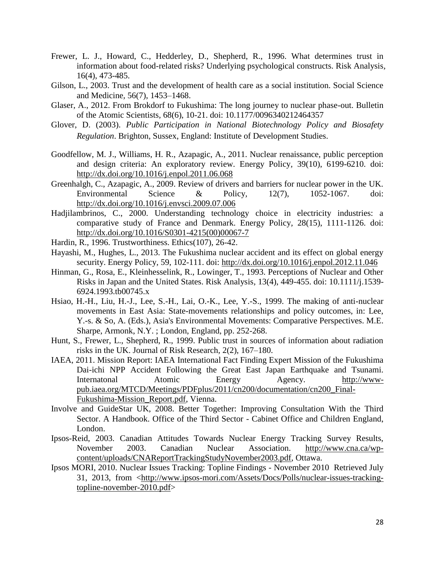- Frewer, L. J., Howard, C., Hedderley, D., Shepherd, R., 1996. What determines trust in information about food-related risks? Underlying psychological constructs. Risk Analysis*,*  16(4), 473-485.
- Gilson, L., 2003. Trust and the development of health care as a social institution. Social Science and Medicine*,* 56(7), 1453–1468.
- Glaser, A., 2012. From Brokdorf to Fukushima: The long journey to nuclear phase-out. Bulletin of the Atomic Scientists*,* 68(6), 10-21. doi: 10.1177/0096340212464357
- Glover, D. (2003). *Public Participation in National Biotechnology Policy and Biosafety Regulation*. Brighton, Sussex, England: Institute of Development Studies.
- Goodfellow, M. J., Williams, H. R., Azapagic, A., 2011. Nuclear renaissance, public perception and design criteria: An exploratory review. Energy Policy*,* 39(10), 6199-6210. doi: <http://dx.doi.org/10.1016/j.enpol.2011.06.068>
- Greenhalgh, C., Azapagic, A., 2009. Review of drivers and barriers for nuclear power in the UK. Environmental Science & Policy, 12(7), 1052-1067. doi: <http://dx.doi.org/10.1016/j.envsci.2009.07.006>
- Hadjilambrinos, C., 2000. Understanding technology choice in electricity industries: a comparative study of France and Denmark. Energy Policy*,* 28(15), 1111-1126. doi: [http://dx.doi.org/10.1016/S0301-4215\(00\)00067-7](http://dx.doi.org/10.1016/S0301-4215(00)00067-7)
- Hardin, R., 1996. Trustworthiness. Ethics(107), 26-42.
- Hayashi, M., Hughes, L., 2013. The Fukushima nuclear accident and its effect on global energy security. Energy Policy*,* 59, 102-111. doi:<http://dx.doi.org/10.1016/j.enpol.2012.11.046>
- Hinman, G., Rosa, E., Kleinhesselink, R., Lowinger, T., 1993. Perceptions of Nuclear and Other Risks in Japan and the United States. Risk Analysis*,* 13(4), 449-455. doi: 10.1111/j.1539- 6924.1993.tb00745.x
- Hsiao, H.-H., Liu, H.-J., Lee, S.-H., Lai, O.-K., Lee, Y.-S., 1999. The making of anti-nuclear movements in East Asia: State-movements relationships and policy outcomes, in: Lee, Y.-s. & So, A. (Eds.), Asia's Environmental Movements: Comparative Perspectives. M.E. Sharpe, Armonk, N.Y. ; London, England, pp. 252-268.
- Hunt, S., Frewer, L., Shepherd, R., 1999. Public trust in sources of information about radiation risks in the UK. Journal of Risk Research*,* 2(2), 167–180.
- IAEA, 2011. Mission Report: IAEA International Fact Finding Expert Mission of the Fukushima Dai-ichi NPP Accident Following the Great East Japan Earthquake and Tsunami. Internatonal Atomic Energy Agency. [http://www](http://www-pub.iaea.org/MTCD/Meetings/PDFplus/2011/cn200/documentation/cn200_Final-Fukushima-Mission_Report.pdf)[pub.iaea.org/MTCD/Meetings/PDFplus/2011/cn200/documentation/cn200\\_Final-](http://www-pub.iaea.org/MTCD/Meetings/PDFplus/2011/cn200/documentation/cn200_Final-Fukushima-Mission_Report.pdf)[Fukushima-Mission\\_Report.pdf,](http://www-pub.iaea.org/MTCD/Meetings/PDFplus/2011/cn200/documentation/cn200_Final-Fukushima-Mission_Report.pdf) Vienna.
- Involve and GuideStar UK, 2008. Better Together: Improving Consultation With the Third Sector. A Handbook. Office of the Third Sector - Cabinet Office and Children England, London.
- Ipsos-Reid, 2003. Canadian Attitudes Towards Nuclear Energy Tracking Survey Results, November 2003. Canadian Nuclear Association. [http://www.cna.ca/wp](http://www.cna.ca/wp-content/uploads/CNAReportTrackingStudyNovember2003.pdf)[content/uploads/CNAReportTrackingStudyNovember2003.pdf,](http://www.cna.ca/wp-content/uploads/CNAReportTrackingStudyNovember2003.pdf) Ottawa.
- Ipsos MORI, 2010. Nuclear Issues Tracking: Topline Findings November 2010 Retrieved July 31, 2013, from [<http://www.ipsos-mori.com/Assets/Docs/Polls/nuclear-issues-tracking](http://www.ipsos-mori.com/Assets/Docs/Polls/nuclear-issues-tracking-topline-november-2010.pdf)[topline-november-2010.pdf>](http://www.ipsos-mori.com/Assets/Docs/Polls/nuclear-issues-tracking-topline-november-2010.pdf)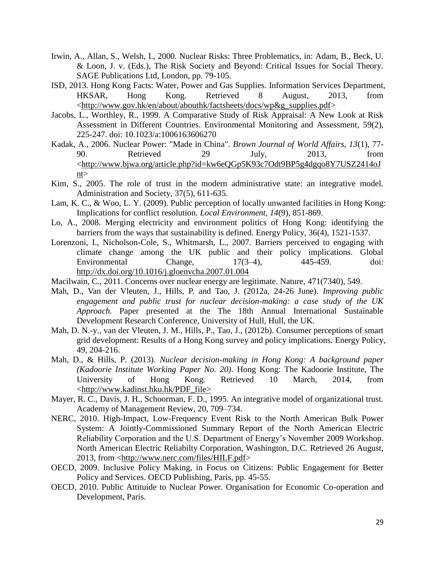- Irwin, A., Allan, S., Welsh, I., 2000. Nuclear Risks: Three Problematics, in: Adam, B., Beck, U. & Loon, J. v. (Eds.), The Risk Society and Beyond: Critical Issues for Social Theory. SAGE Publications Ltd, London, pp. 79-105.
- ISD, 2013. Hong Kong Facts: Water, Power and Gas Supplies. Information Services Department, HKSAR, Hong Kong. Retrieved 8 August, 2013, from [<http://www.gov.hk/en/about/abouthk/factsheets/docs/wp&g\\_supplies.pdf>](http://www.gov.hk/en/about/abouthk/factsheets/docs/wp&g_supplies.pdf)
- Jacobs, L., Worthley, R., 1999. A Comparative Study of Risk Appraisal: A New Look at Risk Assessment in Different Countries. Environmental Monitoring and Assessment*,* 59(2), 225-247. doi: 10.1023/a:1006163606270
- Kadak, A., 2006. Nuclear Power: "Made in China". *Brown Journal of World Affairs, 13*(1), 77- 90. Retrieved 29 July, 2013, from [<http://www.bjwa.org/article.php?id=kw6eQGp5K93c7Odt9BP5g4dgqo8Y7USZ2414oJ](http://www.bjwa.org/article.php?id=kw6eQGp5K93c7Odt9BP5g4dgqo8Y7USZ2414oJnt)  $nt$
- Kim, S., 2005. The role of trust in the modern administrative state: an integrative model. Administration and Society*,* 37(5), 611-635.
- Lam, K. C., & Woo, L. Y. (2009). Public perception of locally unwanted facilities in Hong Kong: Implications for conflict resolution. *Local Environment, 14*(9), 851-869.
- Lo, A., 2008. Merging electricity and environment politics of Hong Kong: identifying the barriers from the ways that sustainability is defined. Energy Policy*,* 36(4), 1521-1537.
- Lorenzoni, I., Nicholson-Cole, S., Whitmarsh, L., 2007. Barriers perceived to engaging with climate change among the UK public and their policy implications. Global Environmental Change*,* 17(3–4), 445-459. doi: <http://dx.doi.org/10.1016/j.gloenvcha.2007.01.004>
- Macilwain, C., 2011. Concerns over nuclear energy are legitimate. Nature*,* 471(7340), 549.
- Mah, D., Van der Vleuten, J., Hills, P. and Tao, J. (2012a, 24-26 June). *Improving public engagement and public trust for nuclear decision-making: a case study of the UK Approach.* Paper presented at the The 18th Annual International Sustainable Development Research Conference, University of Hull, Hull, the UK.
- Mah, D. N.-y., van der Vleuten, J. M., Hills, P., Tao, J., (2012b). Consumer perceptions of smart grid development: Results of a Hong Kong survey and policy implications. Energy Policy*,*  49, 204-216.
- Mah, D., & Hills, P. (2013). *Nuclear decision-making in Hong Kong: A background paper (Kadoorie Institute Working Paper No. 20)*. Hong Kong: The Kadoorie Institute, The University of Hong Kong. Retrieved 10 March, 2014, from [<http://www.kadinst.hku.hk/PDF\\_file>](http://www.kadinst.hku.hk/PDF_file)
- Mayer, R. C., Davis, J. H., Schoorman, F. D., 1995. An integrative model of organizational trust. Academy of Management Review*,* 20, 709–734.
- NERC, 2010. High-Impact, Low-Frequency Event Risk to the North American Bulk Power System: A Jointly-Commissioned Summary Report of the North American Electric Reliability Corporation and the U.S. Department of Energy's November 2009 Workshop. North American Electric Reliabilty Corporation, Washington, D.C. Retrieved 26 August, 2013, from [<http://www.nerc.com/files/HILF.pdf>](http://www.nerc.com/files/HILF.pdf)
- OECD, 2009. Inclusive Policy Making, in Focus on Citizens: Public Engagement for Better Policy and Services. OECD Publishing, Paris, pp. 45-55.
- OECD, 2010. Public Attituide to Nuclear Power. Organisation for Economic Co-operation and Development, Paris.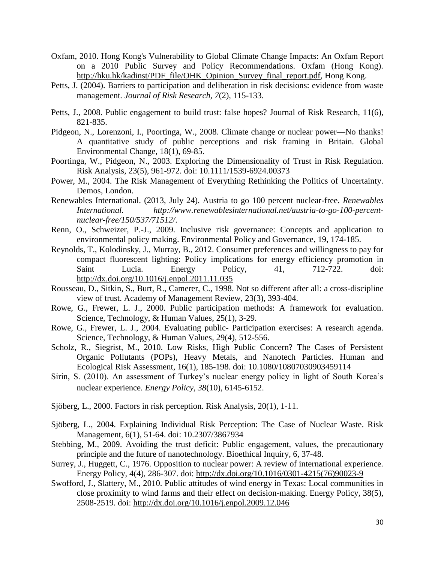- Oxfam, 2010. Hong Kong's Vulnerability to Global Climate Change Impacts: An Oxfam Report on a 2010 Public Survey and Policy Recommendations. Oxfam (Hong Kong). [http://hku.hk/kadinst/PDF\\_file/OHK\\_Opinion\\_Survey\\_final\\_report.pdf,](http://hku.hk/kadinst/PDF_file/OHK_Opinion_Survey_final_report.pdf) Hong Kong.
- Petts, J. (2004). Barriers to participation and deliberation in risk decisions: evidence from waste management. *Journal of Risk Research, 7*(2), 115-133.
- Petts, J., 2008. Public engagement to build trust: false hopes? Journal of Risk Research*,* 11(6), 821-835.
- Pidgeon, N., Lorenzoni, I., Poortinga, W., 2008. Climate change or nuclear power—No thanks! A quantitative study of public perceptions and risk framing in Britain. Global Environmental Change*,* 18(1), 69-85.
- Poortinga, W., Pidgeon, N., 2003. Exploring the Dimensionality of Trust in Risk Regulation. Risk Analysis*,* 23(5), 961-972. doi: 10.1111/1539-6924.00373
- Power, M., 2004. The Risk Management of Everything Rethinking the Politics of Uncertainty. Demos, London.
- Renewables International. (2013, July 24). Austria to go 100 percent nuclear-free. *Renewables International. http://www.renewablesinternational.net/austria-to-go-100-percentnuclear-free/150/537/71512/*.
- Renn, O., Schweizer, P.-J., 2009. Inclusive risk governance: Concepts and application to environmental policy making. Environmental Policy and Governance*,* 19, 174-185.
- Reynolds, T., Kolodinsky, J., Murray, B., 2012. Consumer preferences and willingness to pay for compact fluorescent lighting: Policy implications for energy efficiency promotion in Saint Lucia. Energy Policy, 41, 712-722. doi: <http://dx.doi.org/10.1016/j.enpol.2011.11.035>
- Rousseau, D., Sitkin, S., Burt, R., Camerer, C., 1998. Not so different after all: a cross-discipline view of trust. Academy of Management Review*,* 23(3), 393-404.
- Rowe, G., Frewer, L. J., 2000. Public participation methods: A framework for evaluation. Science, Technology, & Human Values*,* 25(1), 3-29.
- Rowe, G., Frewer, L. J., 2004. Evaluating public- Participation exercises: A research agenda. Science, Technology, & Human Values*,* 29(4), 512-556.
- Scholz, R., Siegrist, M., 2010. Low Risks, High Public Concern? The Cases of Persistent Organic Pollutants (POPs), Heavy Metals, and Nanotech Particles. Human and Ecological Risk Assessment*,* 16(1), 185-198. doi: 10.1080/10807030903459114
- Sirin, S. (2010). An assessment of Turkey's nuclear energy policy in light of South Korea's nuclear experience. *Energy Policy, 38*(10), 6145-6152.
- Sjöberg, L., 2000. Factors in risk perception. Risk Analysis*,* 20(1), 1-11.
- Sjöberg, L., 2004. Explaining Individual Risk Perception: The Case of Nuclear Waste. Risk Management*,* 6(1), 51-64. doi: 10.2307/3867934
- Stebbing, M., 2009. Avoiding the trust deficit: Public engagement, values, the precautionary principle and the future of nanotechnology. Bioethical Inquiry*,* 6, 37-48.
- Surrey, J., Huggett, C., 1976. Opposition to nuclear power: A review of international experience. Energy Policy*,* 4(4), 286-307. doi: [http://dx.doi.org/10.1016/0301-4215\(76\)90023-9](http://dx.doi.org/10.1016/0301-4215(76)90023-9)
- Swofford, J., Slattery, M., 2010. Public attitudes of wind energy in Texas: Local communities in close proximity to wind farms and their effect on decision-making. Energy Policy*,* 38(5), 2508-2519. doi:<http://dx.doi.org/10.1016/j.enpol.2009.12.046>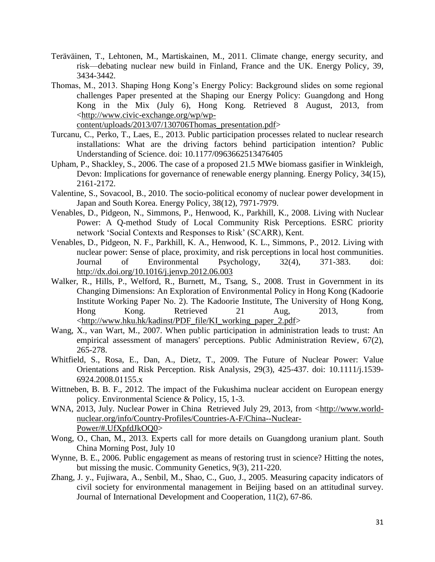- Teräväinen, T., Lehtonen, M., Martiskainen, M., 2011. Climate change, energy security, and risk—debating nuclear new build in Finland, France and the UK. Energy Policy*,* 39, 3434-3442.
- Thomas, M., 2013. Shaping Hong Kong's Energy Policy: Background slides on some regional challenges Paper presented at the Shaping our Energy Policy: Guangdong and Hong Kong in the Mix (July 6), Hong Kong. Retrieved 8 August, 2013, from [<http://www.civic-exchange.org/wp/wp-](http://www.civic-exchange.org/wp/wp-content/uploads/2013/07/130706Thomas_presentation.pdf)

[content/uploads/2013/07/130706Thomas\\_presentation.pdf>](http://www.civic-exchange.org/wp/wp-content/uploads/2013/07/130706Thomas_presentation.pdf)

- Turcanu, C., Perko, T., Laes, E., 2013. Public participation processes related to nuclear research installations: What are the driving factors behind participation intention? Public Understanding of Science. doi: 10.1177/0963662513476405
- Upham, P., Shackley, S., 2006. The case of a proposed 21.5 MWe biomass gasifier in Winkleigh, Devon: Implications for governance of renewable energy planning. Energy Policy*,* 34(15), 2161-2172.
- Valentine, S., Sovacool, B., 2010. The socio-political economy of nuclear power development in Japan and South Korea. Energy Policy*,* 38(12), 7971-7979.
- Venables, D., Pidgeon, N., Simmons, P., Henwood, K., Parkhill, K., 2008. Living with Nuclear Power: A Q-method Study of Local Community Risk Perceptions. ESRC priority network 'Social Contexts and Responses to Risk' (SCARR), Kent.
- Venables, D., Pidgeon, N. F., Parkhill, K. A., Henwood, K. L., Simmons, P., 2012. Living with nuclear power: Sense of place, proximity, and risk perceptions in local host communities. Journal of Environmental Psychology*,* 32(4), 371-383. doi: <http://dx.doi.org/10.1016/j.jenvp.2012.06.003>
- Walker, R., Hills, P., Welford, R., Burnett, M., Tsang, S., 2008. Trust in Government in its Changing Dimensions: An Exploration of Environmental Policy in Hong Kong (Kadoorie Institute Working Paper No. 2). The Kadoorie Institute, The University of Hong Kong, Hong Kong. Retrieved 21 Aug, 2013, from [<http://www.hku.hk/kadinst/PDF\\_file/KI\\_working\\_paper\\_2.pdf>](http://www.hku.hk/kadinst/PDF_file/KI_working_paper_2.pdf)
- Wang, X., van Wart, M., 2007. When public participation in administration leads to trust: An empirical assessment of managers' perceptions. Public Administration Review*,* 67(2), 265-278.
- Whitfield, S., Rosa, E., Dan, A., Dietz, T., 2009. The Future of Nuclear Power: Value Orientations and Risk Perception. Risk Analysis*,* 29(3), 425-437. doi: 10.1111/j.1539- 6924.2008.01155.x
- Wittneben, B. B. F., 2012. The impact of the Fukushima nuclear accident on European energy policy. Environmental Science & Policy*,* 15, 1-3.
- WNA, 2013, July. Nuclear Power in China Retrieved July 29, 2013, from [<http://www.world](http://www.world-nuclear.org/info/Country-Profiles/Countries-A-F/China--Nuclear-Power/#.UfXpfdJkOQ0)[nuclear.org/info/Country-Profiles/Countries-A-F/China--Nuclear-](http://www.world-nuclear.org/info/Country-Profiles/Countries-A-F/China--Nuclear-Power/#.UfXpfdJkOQ0)[Power/#.UfXpfdJkOQ0>](http://www.world-nuclear.org/info/Country-Profiles/Countries-A-F/China--Nuclear-Power/#.UfXpfdJkOQ0)
- Wong, O., Chan, M., 2013. Experts call for more details on Guangdong uranium plant. South China Morning Post*,* July 10
- Wynne, B. E., 2006. Public engagement as means of restoring trust in science? Hitting the notes, but missing the music. Community Genetics*,* 9(3), 211-220.
- Zhang, J. y., Fujiwara, A., Senbil, M., Shao, C., Guo, J., 2005. Measuring capacity indicators of civil society for environmental management in Beijing based on an attitudinal survey. Journal of International Development and Cooperation, 11(2), 67-86.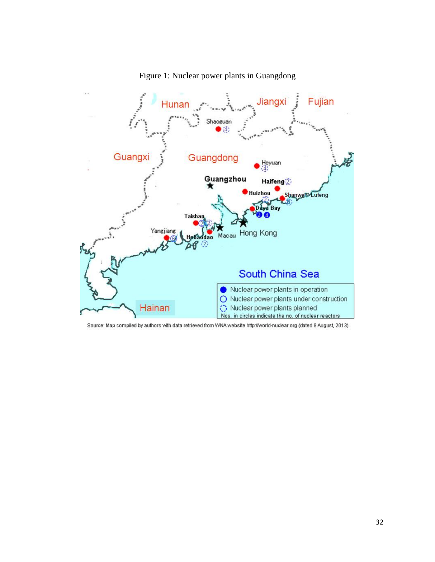

Figure 1: Nuclear power plants in Guangdong

Source: Map compiled by authors with data retrieved from WNA website http://world-nuclear.org (dated 8 August, 2013)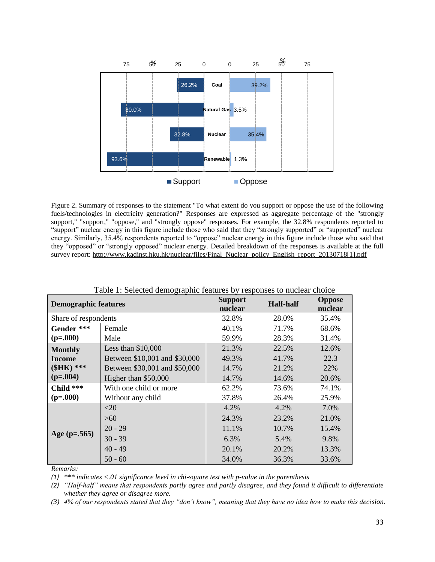

Figure 2. Summary of responses to the statement "To what extent do you support or oppose the use of the following fuels/technologies in electricity generation?" Responses are expressed as aggregate percentage of the "strongly support," "support," "oppose," and "strongly oppose" responses. For example, the 32.8% respondents reported to "support" nuclear energy in this figure include those who said that they "strongly supported" or "supported" nuclear energy. Similarly, 35.4% respondents reported to "oppose" nuclear energy in this figure include those who said that they "opposed" or "strongly opposed" nuclear energy. Detailed breakdown of the responses is available at the full survey report: [http://www.kadinst.hku.hk/nuclear/files/Final\\_Nuclear\\_policy\\_English\\_report\\_20130718\[1\].pdf](http://www.kadinst.hku.hk/nuclear/files/Final_Nuclear_policy_English_report_20130718%5b1%5d.pdf)

| <b>Demographic features</b>                           |                               | <b>Support</b><br>nuclear | <b>Half-half</b> | <b>Oppose</b><br>nuclear |
|-------------------------------------------------------|-------------------------------|---------------------------|------------------|--------------------------|
| Share of respondents                                  |                               | 32.8%                     | 28.0%            | 35.4%                    |
| Gender ***                                            | Female                        | 40.1%                     | 71.7%            | 68.6%                    |
| $(p=.000)$                                            | Male                          | 59.9%                     | 28.3%            | 31.4%                    |
| <b>Monthly</b>                                        | Less than $$10,000$           | 21.3%                     | 22.5%            | 12.6%                    |
| <b>Income</b>                                         | Between \$10,001 and \$30,000 | 49.3%                     | 41.7%            | 22.3                     |
| $$HK$ <sup>***</sup><br>Between \$30,001 and \$50,000 |                               | 14.7%                     | 21.2%            | 22%                      |
| $(p=.004)$                                            | Higher than \$50,000          | 14.7%                     | 14.6%            | 20.6%                    |
| Child ***                                             | With one child or more        | 62.2%                     | 73.6%            | 74.1%                    |
| $(p=.000)$                                            | Without any child             | 37.8%                     | 26.4%            | 25.9%                    |
|                                                       | $<$ 20                        | 4.2%                      | 4.2%             | 7.0%                     |
| Age $(p=.565)$                                        | >60                           | 24.3%                     | 23.2%            | 21.0%                    |
|                                                       | $20 - 29$                     | 11.1%                     | 10.7%            | 15.4%                    |
|                                                       | $30 - 39$                     | 6.3%                      | 5.4%             | 9.8%                     |
|                                                       | $40 - 49$                     | 20.1%                     | 20.2%            | 13.3%                    |
|                                                       | 50 - 60                       | 34.0%                     | 36.3%            | 33.6%                    |

Table 1: Selected demographic features by responses to nuclear choice

*Remarks:* 

*(1) \*\*\* indicates <.01 significance level in chi-square test with p-value in the parenthesis*

*(2) "Half-half" means that respondents partly agree and partly disagree, and they found it difficult to differentiate whether they agree or disagree more.*

*(3) 4% of our respondents stated that they "don't know", meaning that they have no idea how to make this decision.*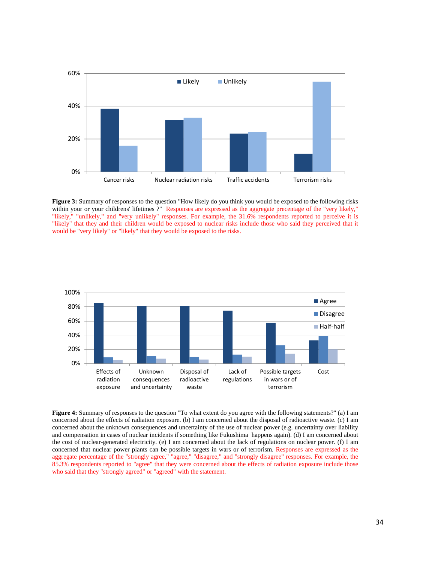

**Figure 3:** Summary of responses to the question "How likely do you think you would be exposed to the following risks within your or your childrens' lifetimes ?" Responses are expressed as the aggregate precentage of the "very likely," "likely," "unlikely," and "very unlikely" responses. For example, the 31.6% respondents reported to perceive it is "likely" that they and their children would be exposed to nuclear risks include those who said they perceived that it would be "very likely" or "likely" that they would be exposed to the risks.



**Figure 4:** Summary of responses to the question "To what extent do you agree with the following statements?" (a) I am concerned about the effects of radiation exposure. (b) I am concerned about the disposal of radioactive waste. (c) I am concerned about the unknown consequences and uncertainty of the use of nuclear power (e.g. uncertainty over liability and compensation in cases of nuclear incidents if something like Fukushima happens again). (d) I am concerned about the cost of nuclear-generated electricity. (e) I am concerned about the lack of regulations on nuclear power. (f) I am concerned that nuclear power plants can be possible targets in wars or of terrorism. Responses are expressed as the aggregate percentage of the "strongly agree," "agree," "disagree," and "strongly disagree" responses. For example, the 85.3% respondents reported to "agree" that they were concerned about the effects of radiation exposure include those who said that they "strongly agreed" or "agreed" with the statement.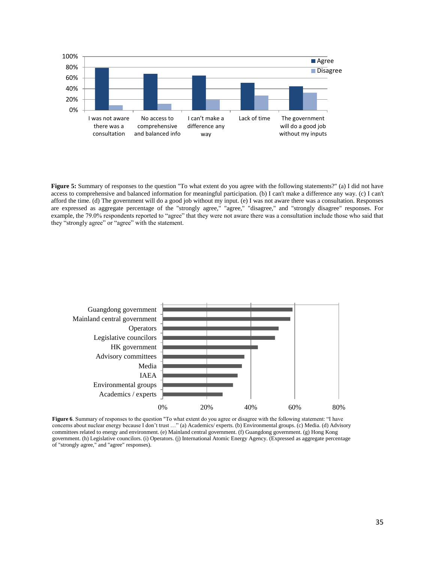

**Figure 5:** Summary of responses to the question "To what extent do you agree with the following statements?" (a) I did not have access to comprehensive and balanced information for meaningful participation. (b) I can't make a difference any way. (c) I can't afford the time. (d) The government will do a good job without my input. (e) I was not aware there was a consultation. Responses are expressed as aggregate percentage of the "strongly agree," "agree," "disagree," and "strongly disagree" responses. For example, the 79.0% respondents reported to "agree" that they were not aware there was a consultation include those who said that they "strongly agree" or "agree" with the statement.



**Figure 6**. Summary of responses to the question "To what extent do you agree or disagree with the following statement: "I have concerns about nuclear energy because I don't trust …" (a) Academics/ experts. (b) Environmental groups. (c) Media. (d) Advisory committees related to energy and environment. (e) Mainland central government. (f) Guangdong government. (g) Hong Kong government. (h) Legislative councilors. (i) Operators. (j) International Atomic Energy Agency. (Expressed as aggregate percentage of "strongly agree," and "agree" responses).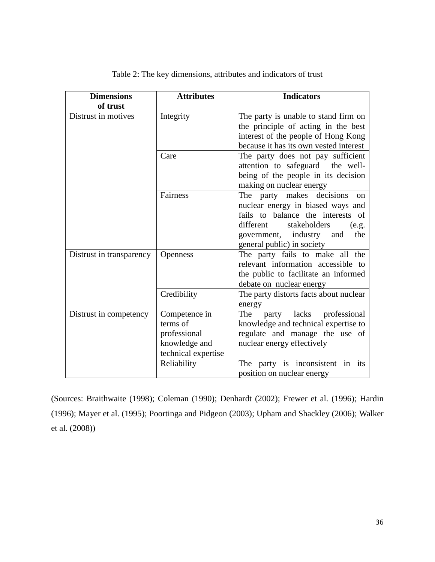| <b>Dimensions</b>        | <b>Attributes</b>                                                                                | <b>Indicators</b>                                                                                                                                                                                                           |
|--------------------------|--------------------------------------------------------------------------------------------------|-----------------------------------------------------------------------------------------------------------------------------------------------------------------------------------------------------------------------------|
| of trust                 |                                                                                                  |                                                                                                                                                                                                                             |
| Distrust in motives      | Integrity                                                                                        | The party is unable to stand firm on<br>the principle of acting in the best<br>interest of the people of Hong Kong<br>because it has its own vested interest                                                                |
|                          | Care                                                                                             | The party does not pay sufficient<br>attention to safeguard the well-<br>being of the people in its decision<br>making on nuclear energy                                                                                    |
|                          | Fairness                                                                                         | The party makes decisions<br><sub>on</sub><br>nuclear energy in biased ways and<br>fails to balance the interests of<br>different<br>stakeholders<br>(e.g.<br>the<br>government, industry and<br>general public) in society |
| Distrust in transparency | <b>Openness</b>                                                                                  | The party fails to make all the<br>relevant information accessible to<br>the public to facilitate an informed<br>debate on nuclear energy                                                                                   |
|                          | Credibility                                                                                      | The party distorts facts about nuclear<br>energy                                                                                                                                                                            |
| Distrust in competency   | Competence in<br>terms of<br>professional<br>knowledge and<br>technical expertise<br>Reliability | party lacks<br>professional<br>The<br>knowledge and technical expertise to<br>regulate and manage the use of<br>nuclear energy effectively<br>The party is inconsistent in its                                              |
|                          |                                                                                                  | position on nuclear energy                                                                                                                                                                                                  |

Table 2: The key dimensions, attributes and indicators of trust

(Sources: Braithwaite (1998); Coleman (1990); Denhardt (2002); Frewer et al. (1996); Hardin (1996); Mayer et al. (1995); Poortinga and Pidgeon (2003); Upham and Shackley (2006); Walker et al. (2008))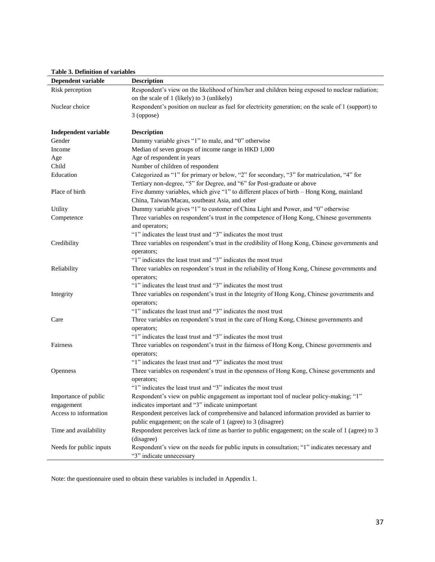| <b>Table 3. Definition of variables</b> |                                                                                                                           |
|-----------------------------------------|---------------------------------------------------------------------------------------------------------------------------|
| Dependent variable                      | <b>Description</b>                                                                                                        |
| Risk perception                         | Respondent's view on the likelihood of him/her and children being exposed to nuclear radiation;                           |
|                                         | on the scale of 1 (likely) to 3 (unlikely)                                                                                |
| Nuclear choice                          | Respondent's position on nuclear as fuel for electricity generation; on the scale of 1 (support) to                       |
|                                         | 3 (oppose)                                                                                                                |
| <b>Independent variable</b>             | <b>Description</b>                                                                                                        |
| Gender                                  | Dummy variable gives "1" to male, and "0" otherwise                                                                       |
| Income                                  | Median of seven groups of income range in HKD 1,000                                                                       |
| Age                                     | Age of respondent in years                                                                                                |
| Child                                   | Number of children of respondent                                                                                          |
| Education                               | Categorized as "1" for primary or below, "2" for secondary, "3" for matriculation, "4" for                                |
|                                         | Tertiary non-degree, "5" for Degree, and "6" for Post-graduate or above                                                   |
| Place of birth                          | Five dummy variables, which give "1" to different places of birth - Hong Kong, mainland                                   |
|                                         | China, Taiwan/Macau, southeast Asia, and other                                                                            |
| Utility                                 | Dummy variable gives "1" to customer of China Light and Power, and "0" otherwise                                          |
| Competence                              | Three variables on respondent's trust in the competence of Hong Kong, Chinese governments                                 |
|                                         | and operators;                                                                                                            |
|                                         | "1" indicates the least trust and "3" indicates the most trust                                                            |
| Credibility                             | Three variables on respondent's trust in the credibility of Hong Kong, Chinese governments and                            |
|                                         | operators;                                                                                                                |
|                                         | "1" indicates the least trust and "3" indicates the most trust                                                            |
| Reliability                             | Three variables on respondent's trust in the reliability of Hong Kong, Chinese governments and<br>operators;              |
|                                         | "1" indicates the least trust and "3" indicates the most trust                                                            |
| Integrity                               | Three variables on respondent's trust in the Integrity of Hong Kong, Chinese governments and<br>operators;                |
|                                         | "1" indicates the least trust and "3" indicates the most trust                                                            |
| Care                                    | Three variables on respondent's trust in the care of Hong Kong, Chinese governments and<br>operators;                     |
|                                         | "1" indicates the least trust and "3" indicates the most trust                                                            |
| Fairness                                | Three variables on respondent's trust in the fairness of Hong Kong, Chinese governments and<br>operators;                 |
|                                         | "1" indicates the least trust and "3" indicates the most trust                                                            |
| Openness                                | Three variables on respondent's trust in the openness of Hong Kong, Chinese governments and                               |
|                                         | operators;                                                                                                                |
|                                         | "1" indicates the least trust and "3" indicates the most trust                                                            |
| Importance of public                    | Respondent's view on public engagement as important tool of nuclear policy-making; "1"                                    |
| engagement                              | indicates important and "3" indicate unimportant                                                                          |
| Access to information                   | Respondent perceives lack of comprehensive and balanced information provided as barrier to                                |
|                                         | public engagement; on the scale of 1 (agree) to 3 (disagree)                                                              |
| Time and availability                   | Respondent perceives lack of time as barrier to public engagement; on the scale of 1 (agree) to 3<br>(disagree)           |
| Needs for public inputs                 | Respondent's view on the needs for public inputs in consultation; "1" indicates necessary and<br>"3" indicate unnecessary |

Note: the questionnaire used to obtain these variables is included in Appendix 1.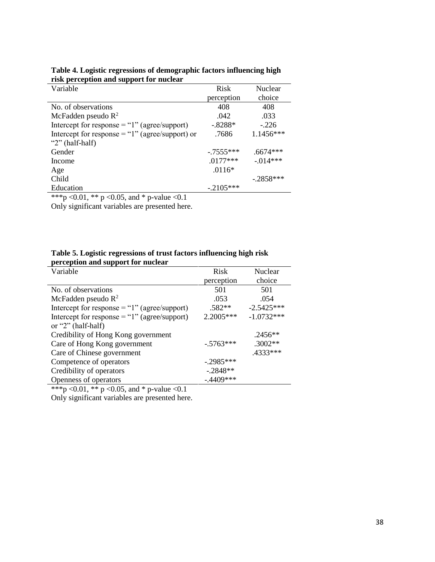| Variable                                          | Risk        | <b>Nuclear</b> |
|---------------------------------------------------|-------------|----------------|
|                                                   | perception  | choice         |
| No. of observations                               | 408         | 408            |
| McFadden pseudo $R^2$                             | .042        | .033           |
| Intercept for response $=$ "1" (agree/support)    | $-.8288*$   | $-.226$        |
| Intercept for response $=$ "1" (agree/support) or | .7686       | 1.1456***      |
| " $2$ " (half-half)                               |             |                |
| Gender                                            | $-.7555***$ | $.6674***$     |
| Income                                            | $.0177***$  | $-.014***$     |
| Age                                               | $.0116*$    |                |
| Child                                             |             | $-.2858***$    |
| Education                                         | $-.2105***$ |                |
| $\sim$<br>$\sim$ $\sim$ $\sim$<br>$1 - 1$         |             |                |

**Table 4. Logistic regressions of demographic factors influencing high risk perception and support for nuclear**

\*\*\*p < 0.01, \*\* p < 0.05, and \* p-value < 0.1 Only significant variables are presented here.

| Table 5. Logistic regressions of trust factors influencing high risk |
|----------------------------------------------------------------------|
| perception and support for nuclear                                   |

| perception and support for nuclear             |             |                |
|------------------------------------------------|-------------|----------------|
| Variable                                       | Risk        | <b>Nuclear</b> |
|                                                | perception  | choice         |
| No. of observations                            | 501         | 501            |
| McFadden pseudo $R^2$                          | .053        | .054           |
| Intercept for response $=$ "1" (agree/support) | $.582**$    | $-2.5425***$   |
| Intercept for response $=$ "1" (agree/support) | $2.2005***$ | $-1.0732***$   |
| or "2" (half-half)                             |             |                |
| Credibility of Hong Kong government            |             | $.2456**$      |
| Care of Hong Kong government                   | $-5763***$  | $.3002**$      |
| Care of Chinese government                     |             | .4333***       |
| Competence of operators                        | $-.2985***$ |                |
| Credibility of operators                       | $-.2848**$  |                |
| Openness of operators                          | $-4409***$  |                |

\*\*\*p < 0.01, \*\* p < 0.05, and \* p-value < 0.1

Only significant variables are presented here.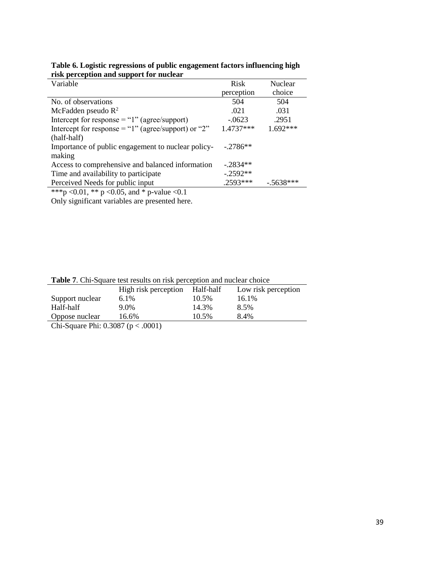| Variable                                              | Risk        | Nuclear      |
|-------------------------------------------------------|-------------|--------------|
|                                                       | perception  | choice       |
| No. of observations                                   | 504         | 504          |
| McFadden pseudo $\mathbb{R}^2$                        | .021        | .031         |
| Intercept for response $=$ "1" (agree/support)        | $-.0623$    | .2951        |
| Intercept for response $=$ "1" (agree/support) or "2" | $1.4737***$ | $1.692***$   |
| (half-half)                                           |             |              |
| Importance of public engagement to nuclear policy-    | $-.2786**$  |              |
| making                                                |             |              |
| Access to comprehensive and balanced information      | $-.2834**$  |              |
| Time and availability to participate                  | $-.2592**$  |              |
| Perceived Needs for public input                      | $.2593***$  | $-0.5638***$ |
| ***p < 0.01, ** p < 0.05, and * p-value < 0.1         |             |              |

| Table 6. Logistic regressions of public engagement factors influencing high |
|-----------------------------------------------------------------------------|
| risk perception and support for nuclear                                     |

Only significant variables are presented here.

| <b>Table 7.</b> Chi-Square test results on risk perception and nuclear choice |  |  |  |  |  |
|-------------------------------------------------------------------------------|--|--|--|--|--|
|                                                                               |  |  |  |  |  |

| <b>Table</b> 7. Chi-Square lest results on risk perception and nuclear enoice |                      |           |                     |  |  |  |  |
|-------------------------------------------------------------------------------|----------------------|-----------|---------------------|--|--|--|--|
|                                                                               | High risk perception | Half-half | Low risk perception |  |  |  |  |
| Support nuclear                                                               | $6.1\%$              | 10.5%     | 16.1%               |  |  |  |  |
| Half-half                                                                     | $9.0\%$              | 14.3%     | 8.5%                |  |  |  |  |
| Oppose nuclear                                                                | 16.6%                | 10.5%     | 8.4%                |  |  |  |  |
| Chi Saugra Dhi: 0.2007 (p. < 0001)                                            |                      |           |                     |  |  |  |  |

Chi-Square Phi: 0.3087 (p < .0001)